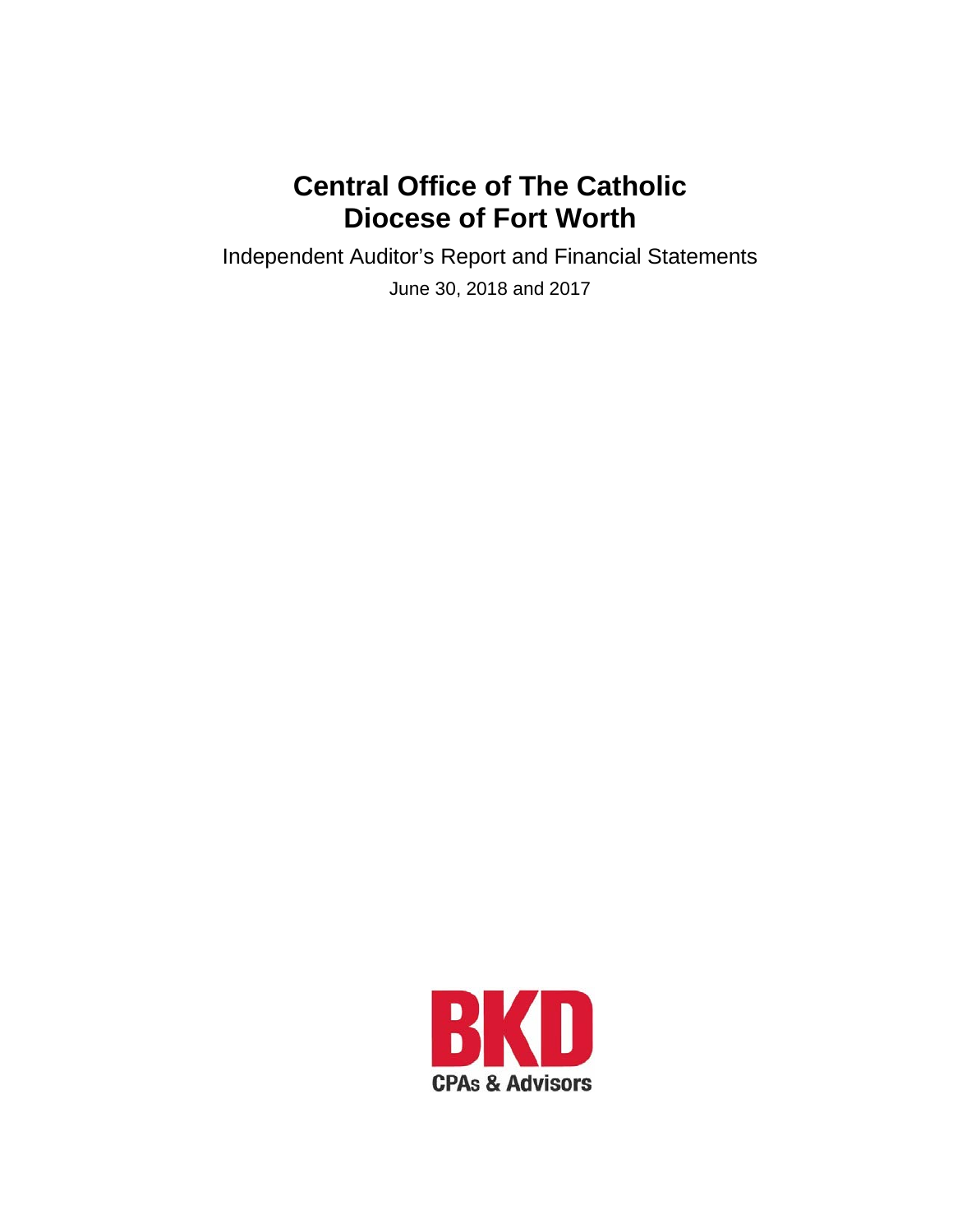Independent Auditor's Report and Financial Statements June 30, 2018 and 2017

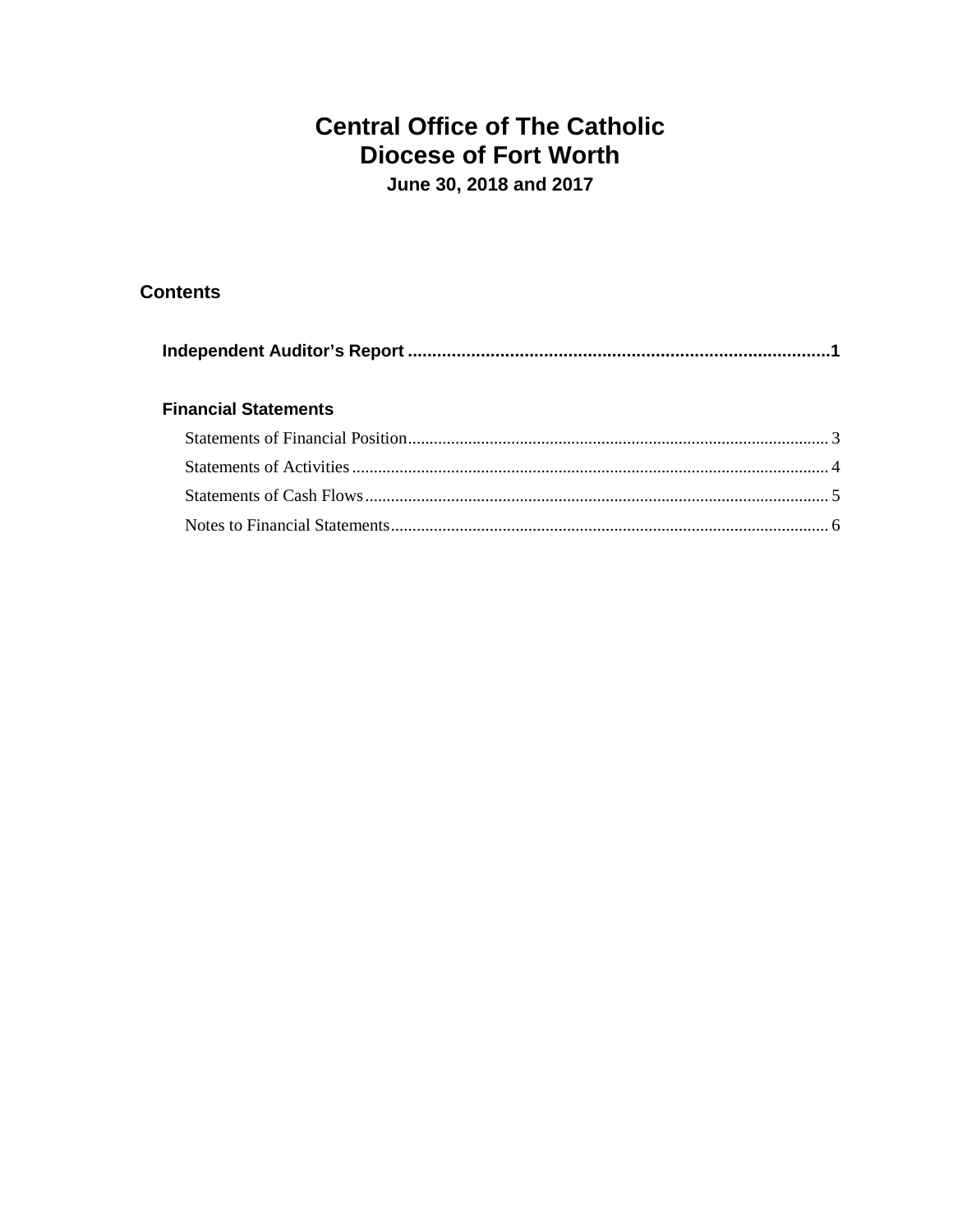June 30, 2018 and 2017

### **Contents**

|--|--|

### **Financial Statements**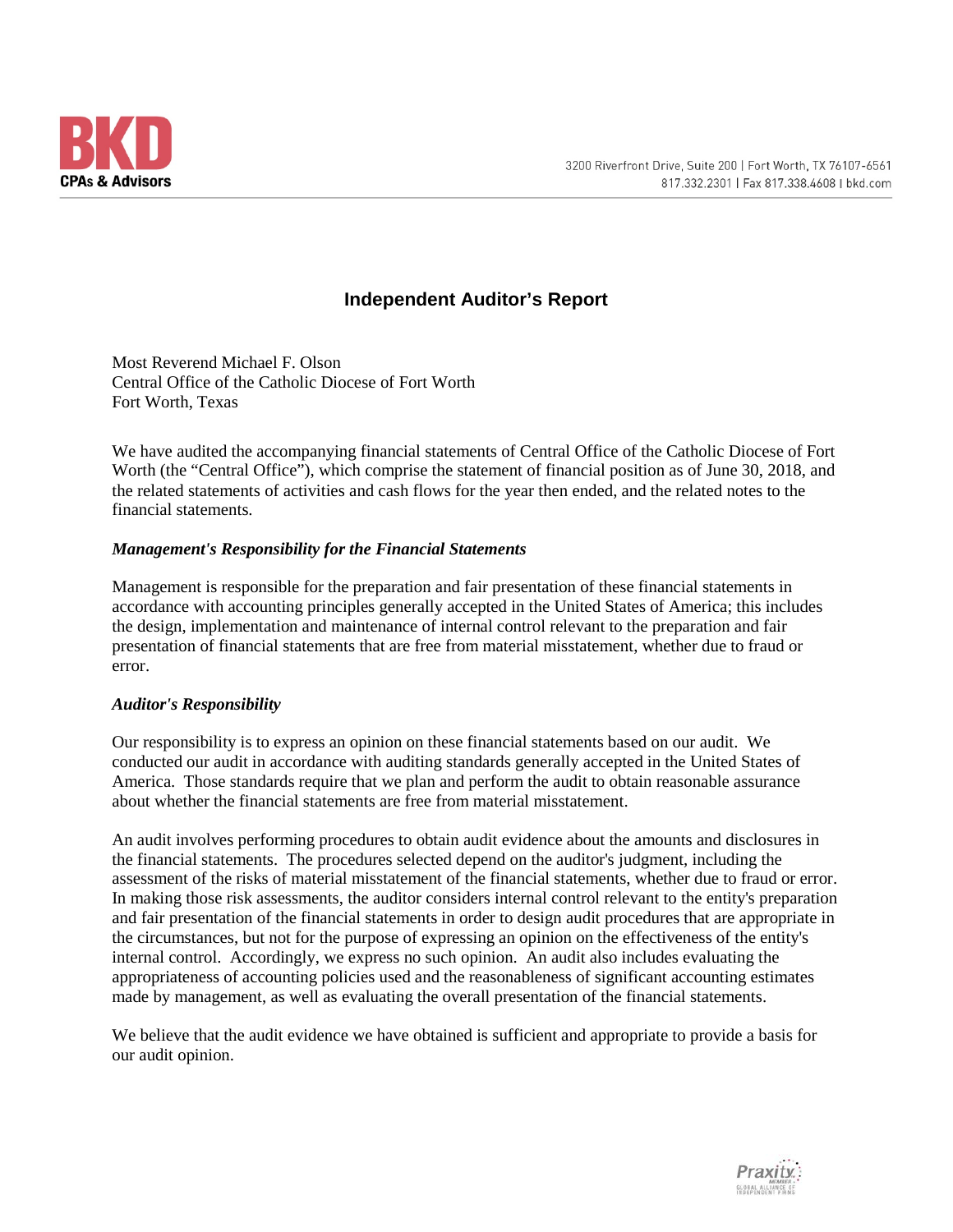

### **Independent Auditor's Report**

Most Reverend Michael F. Olson Central Office of the Catholic Diocese of Fort Worth Fort Worth, Texas

We have audited the accompanying financial statements of Central Office of the Catholic Diocese of Fort Worth (the "Central Office"), which comprise the statement of financial position as of June 30, 2018, and the related statements of activities and cash flows for the year then ended, and the related notes to the financial statements.

#### *Management's Responsibility for the Financial Statements*

Management is responsible for the preparation and fair presentation of these financial statements in accordance with accounting principles generally accepted in the United States of America; this includes the design, implementation and maintenance of internal control relevant to the preparation and fair presentation of financial statements that are free from material misstatement, whether due to fraud or error.

#### *Auditor's Responsibility*

Our responsibility is to express an opinion on these financial statements based on our audit. We conducted our audit in accordance with auditing standards generally accepted in the United States of America. Those standards require that we plan and perform the audit to obtain reasonable assurance about whether the financial statements are free from material misstatement.

An audit involves performing procedures to obtain audit evidence about the amounts and disclosures in the financial statements. The procedures selected depend on the auditor's judgment, including the assessment of the risks of material misstatement of the financial statements, whether due to fraud or error. In making those risk assessments, the auditor considers internal control relevant to the entity's preparation and fair presentation of the financial statements in order to design audit procedures that are appropriate in the circumstances, but not for the purpose of expressing an opinion on the effectiveness of the entity's internal control. Accordingly, we express no such opinion. An audit also includes evaluating the appropriateness of accounting policies used and the reasonableness of significant accounting estimates made by management, as well as evaluating the overall presentation of the financial statements.

We believe that the audit evidence we have obtained is sufficient and appropriate to provide a basis for our audit opinion.

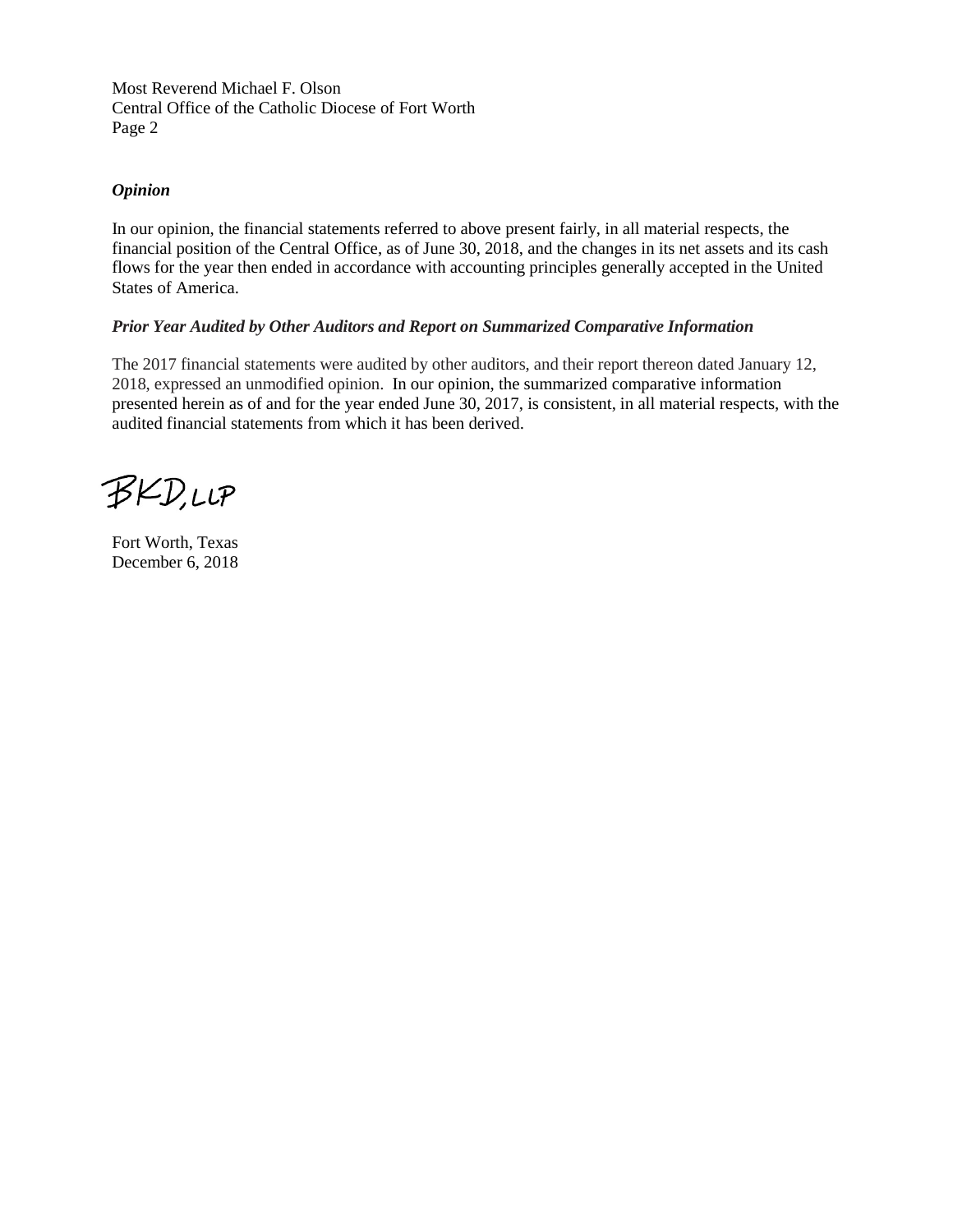Most Reverend Michael F. Olson Central Office of the Catholic Diocese of Fort Worth Page 2

#### *Opinion*

In our opinion, the financial statements referred to above present fairly, in all material respects, the financial position of the Central Office, as of June 30, 2018, and the changes in its net assets and its cash flows for the year then ended in accordance with accounting principles generally accepted in the United States of America.

### *Prior Year Audited by Other Auditors and Report on Summarized Comparative Information*

The 2017 financial statements were audited by other auditors, and their report thereon dated January 12, 2018, expressed an unmodified opinion. In our opinion, the summarized comparative information presented herein as of and for the year ended June 30, 2017, is consistent, in all material respects, with the audited financial statements from which it has been derived.

**BKD,LLP** 

Fort Worth, Texas December 6, 2018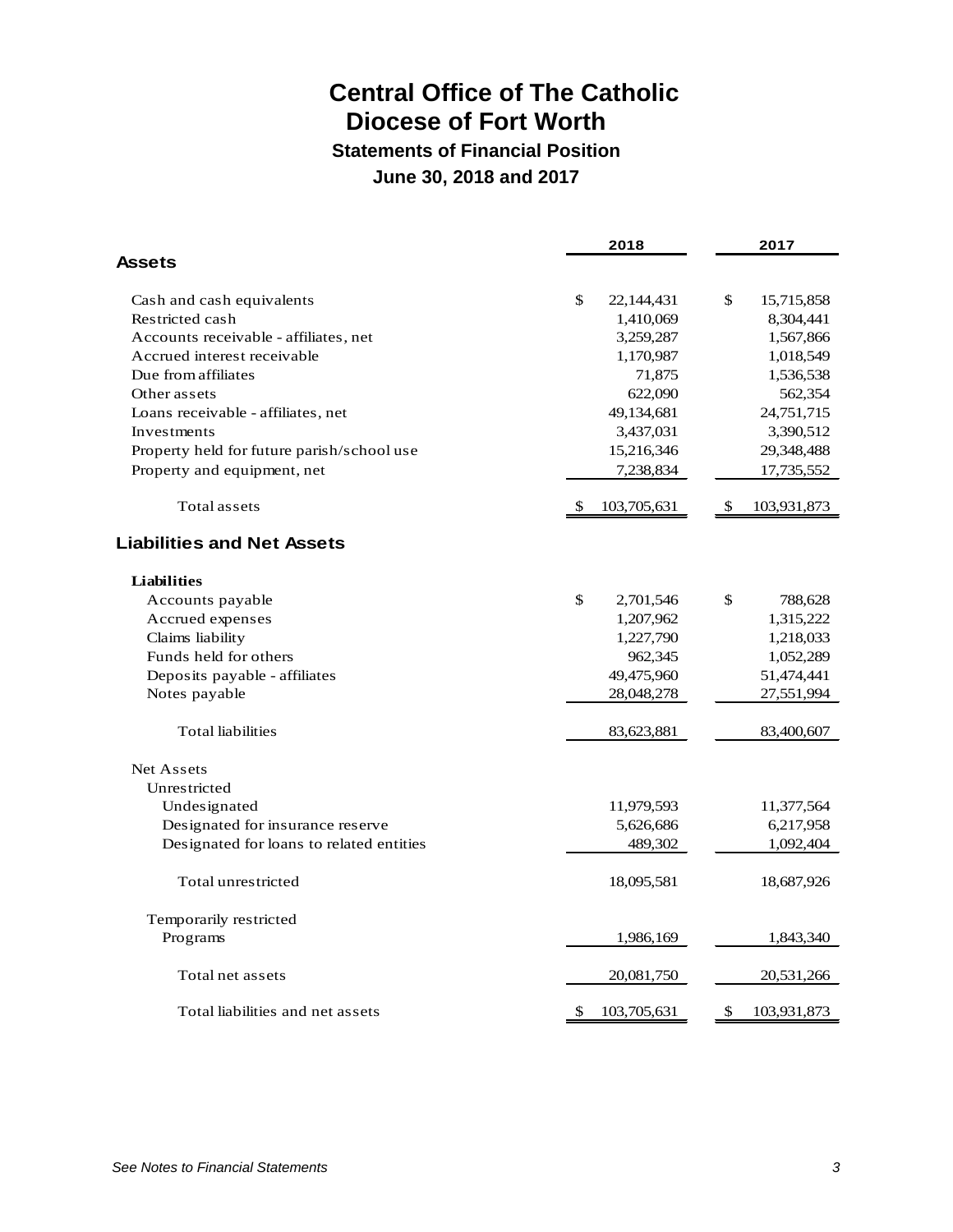### **Statements of Financial Position June 30, 2018 and 2017**

|                                            |    | 2018        | 2017 |             |
|--------------------------------------------|----|-------------|------|-------------|
| Assets                                     |    |             |      |             |
| Cash and cash equivalents                  | \$ | 22,144,431  | \$   | 15,715,858  |
| Restricted cash                            |    | 1,410,069   |      | 8,304,441   |
| Accounts receivable - affiliates, net      |    | 3,259,287   |      | 1,567,866   |
| Accrued interest receivable                |    | 1,170,987   |      | 1,018,549   |
| Due from affiliates                        |    | 71,875      |      | 1,536,538   |
| Other assets                               |    | 622,090     |      | 562,354     |
| Loans receivable - affiliates, net         |    | 49,134,681  |      | 24,751,715  |
| Investments                                |    | 3,437,031   |      | 3,390,512   |
| Property held for future parish/school use |    | 15,216,346  |      | 29,348,488  |
| Property and equipment, net                |    | 7,238,834   |      | 17,735,552  |
| Total assets                               |    | 103,705,631 |      | 103,931,873 |
| Liabilities and Net Assets                 |    |             |      |             |
| <b>Liabilities</b>                         |    |             |      |             |
| Accounts payable                           | \$ | 2,701,546   | \$   | 788,628     |
| Accrued expenses                           |    | 1,207,962   |      | 1,315,222   |
| Claims liability                           |    | 1,227,790   |      | 1,218,033   |
| Funds held for others                      |    | 962,345     |      | 1,052,289   |
| Deposits payable - affiliates              |    | 49,475,960  |      | 51,474,441  |
| Notes payable                              |    | 28,048,278  |      | 27,551,994  |
| <b>Total liabilities</b>                   |    | 83,623,881  |      | 83,400,607  |
| Net Assets                                 |    |             |      |             |
| Unrestricted                               |    |             |      |             |
| Undesignated                               |    | 11,979,593  |      | 11,377,564  |
| Designated for insurance reserve           |    | 5,626,686   |      | 6,217,958   |
| Designated for loans to related entities   |    | 489,302     |      | 1,092,404   |
| Total unrestricted                         |    | 18,095,581  |      | 18,687,926  |
| Temporarily restricted                     |    |             |      |             |
| Programs                                   |    | 1,986,169   |      | 1,843,340   |
| Total net assets                           |    | 20,081,750  |      | 20,531,266  |
| Total liabilities and net assets           | S  | 103,705,631 | \$   | 103,931,873 |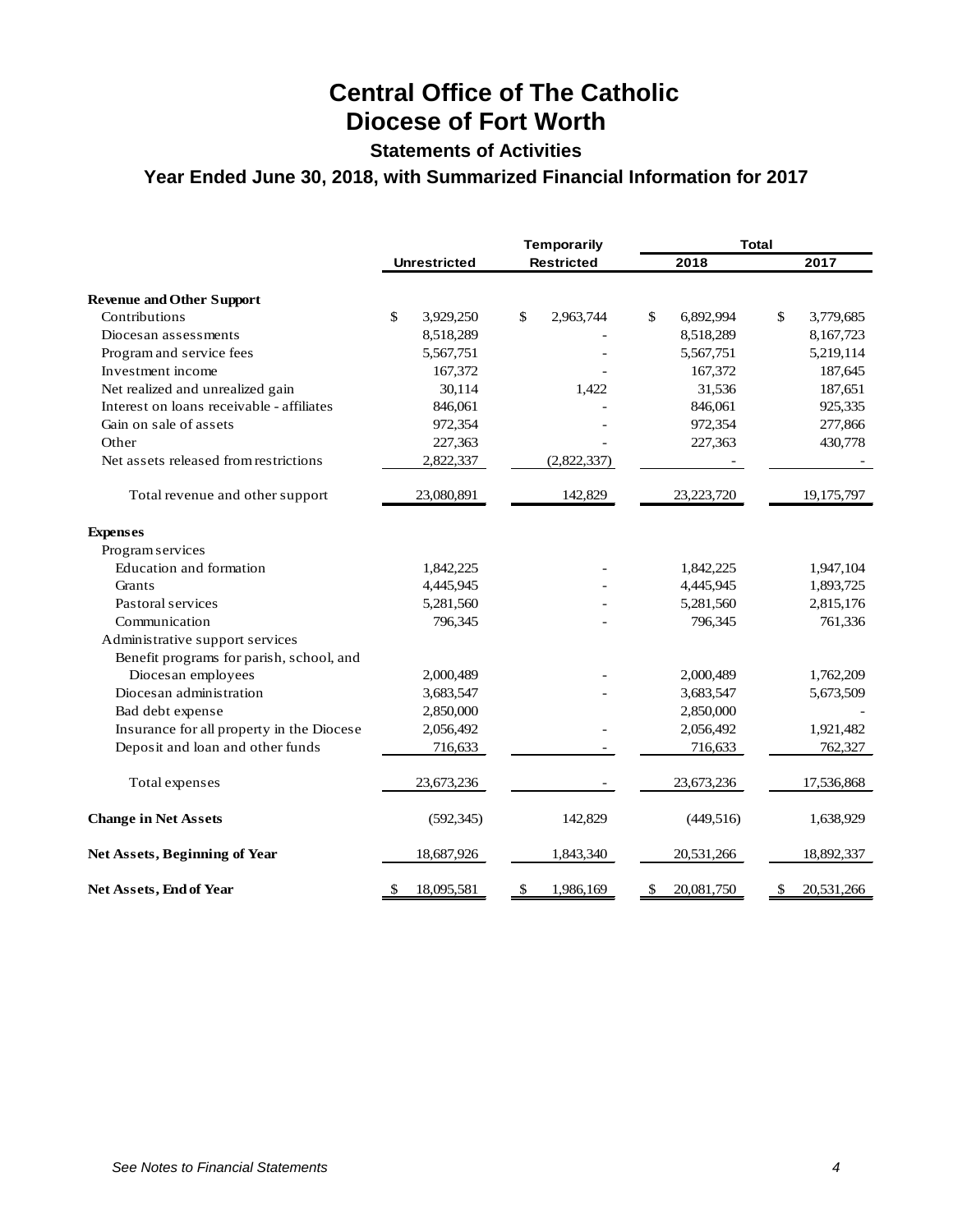### **Statements of Activities**

### **Year Ended June 30, 2018, with Summarized Financial Information for 2017**

|                                           |                     | <b>Temporarily</b> | <b>Total</b>              |                  |
|-------------------------------------------|---------------------|--------------------|---------------------------|------------------|
|                                           | <b>Unrestricted</b> | <b>Restricted</b>  | 2018                      | 2017             |
| <b>Revenue and Other Support</b>          |                     |                    |                           |                  |
| Contributions                             | \$<br>3,929,250     | \$<br>2,963,744    | $\mathbb{S}$<br>6,892,994 | \$<br>3,779,685  |
| Diocesan assessments                      | 8,518,289           |                    | 8,518,289                 | 8,167,723        |
| Program and service fees                  | 5,567,751           |                    | 5,567,751                 | 5,219,114        |
| Investment income                         | 167,372             |                    | 167,372                   | 187,645          |
| Net realized and unrealized gain          | 30,114              | 1,422              | 31,536                    | 187,651          |
| Interest on loans receivable - affiliates | 846,061             |                    | 846,061                   | 925,335          |
| Gain on sale of assets                    | 972,354             |                    | 972,354                   | 277,866          |
| Other                                     | 227,363             |                    | 227,363                   | 430,778          |
| Net assets released from restrictions     | 2,822,337           | (2,822,337)        |                           |                  |
| Total revenue and other support           | 23,080,891          | 142,829            | 23,223,720                | 19,175,797       |
| <b>Expenses</b>                           |                     |                    |                           |                  |
| Program services                          |                     |                    |                           |                  |
| Education and formation                   | 1,842,225           |                    | 1,842,225                 | 1,947,104        |
| Grants                                    | 4,445,945           |                    | 4,445,945                 | 1,893,725        |
| Pastoral services                         | 5,281,560           |                    | 5,281,560                 | 2,815,176        |
| Communication                             | 796,345             |                    | 796,345                   | 761,336          |
| Administrative support services           |                     |                    |                           |                  |
| Benefit programs for parish, school, and  |                     |                    |                           |                  |
| Dioces an employees                       | 2,000,489           |                    | 2,000,489                 | 1,762,209        |
| Dioces an administration                  | 3,683,547           |                    | 3,683,547                 | 5,673,509        |
| Bad debt expense                          | 2,850,000           |                    | 2,850,000                 |                  |
| Insurance for all property in the Diocese | 2,056,492           |                    | 2,056,492                 | 1,921,482        |
| Deposit and loan and other funds          | 716,633             |                    | 716,633                   | 762,327          |
| Total expenses                            | 23,673,236          |                    | 23,673,236                | 17,536,868       |
| <b>Change in Net Assets</b>               | (592, 345)          | 142,829            | (449, 516)                | 1,638,929        |
| Net Assets, Beginning of Year             | 18,687,926          | 1,843,340          | 20,531,266                | 18,892,337       |
| Net Assets, End of Year                   | 18,095,581<br>\$    | 1,986,169<br>\$    | 20,081,750<br>\$          | 20,531,266<br>\$ |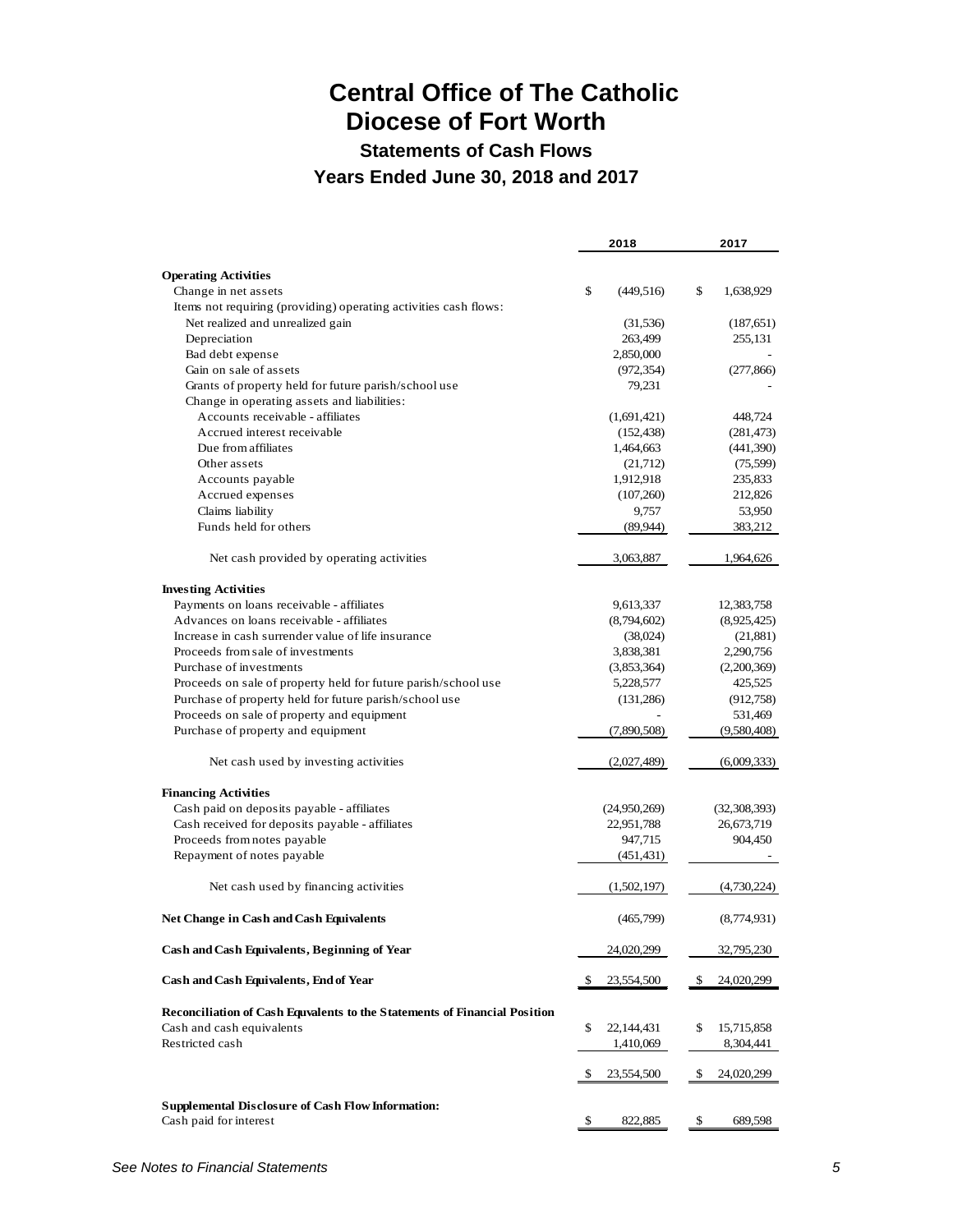**Statements of Cash Flows Years Ended June 30, 2018 and 2017**

|                                                                           | 2018             | 2017             |
|---------------------------------------------------------------------------|------------------|------------------|
|                                                                           |                  |                  |
| <b>Operating Activities</b>                                               |                  |                  |
| Change in net assets                                                      | \$<br>(449, 516) | \$<br>1,638,929  |
| Items not requiring (providing) operating activities cash flows:          |                  |                  |
| Net realized and unrealized gain                                          | (31, 536)        | (187, 651)       |
| Depreciation                                                              | 263,499          | 255,131          |
| Bad debt expense                                                          | 2,850,000        |                  |
| Gain on sale of assets                                                    | (972, 354)       | (277, 866)       |
| Grants of property held for future parish/school use                      | 79,231           |                  |
| Change in operating assets and liabilities:                               |                  |                  |
| Accounts receivable - affiliates                                          | (1,691,421)      | 448,724          |
| Accrued interest receivable                                               | (152, 438)       | (281, 473)       |
| Due from affiliates                                                       | 1,464,663        | (441,390)        |
| Other assets                                                              | (21,712)         | (75,599)         |
| Accounts payable                                                          | 1,912,918        | 235,833          |
| Accrued expenses                                                          | (107,260)        | 212,826          |
| Claims liability                                                          | 9,757            | 53,950           |
| Funds held for others                                                     | (89, 944)        | 383,212          |
| Net cash provided by operating activities                                 | 3,063,887        | 1,964,626        |
| <b>Investing Activities</b>                                               |                  |                  |
| Payments on loans receivable - affiliates                                 | 9,613,337        | 12,383,758       |
| Advances on loans receivable - affiliates                                 | (8,794,602)      | (8,925,425)      |
| Increase in cash surrender value of life insurance                        | (38,024)         | (21, 881)        |
| Proceeds from sale of investments                                         | 3,838,381        | 2,290,756        |
| Purchase of investments                                                   | (3,853,364)      | (2,200,369)      |
| Proceeds on sale of property held for future parish/school use            | 5,228,577        | 425,525          |
| Purchase of property held for future parish/school use                    | (131, 286)       | (912, 758)       |
| Proceeds on sale of property and equipment                                |                  | 531,469          |
| Purchase of property and equipment                                        | (7,890,508)      | (9,580,408)      |
| Net cash used by investing activities                                     | (2,027,489)      | (6,009,333)      |
| <b>Financing Activities</b>                                               |                  |                  |
| Cash paid on deposits payable - affiliates                                | (24,950,269)     | (32,308,393)     |
| Cash received for deposits payable - affiliates                           | 22,951,788       | 26,673,719       |
| Proceeds from notes payable                                               | 947,715          | 904,450          |
| Repayment of notes payable                                                | (451, 431)       |                  |
|                                                                           |                  |                  |
| Net cash used by financing activities                                     | (1,502,197)      | (4,730,224)      |
| Net Change in Cash and Cash Equivalents                                   | (465,799)        | (8,774,931)      |
| Cash and Cash Equivalents, Beginning of Year                              | 24,020,299       | 32,795,230       |
| Cash and Cash Equivalents, End of Year                                    | 23,554,500<br>\$ | -S<br>24,020,299 |
| Reconciliation of Cash Equvalents to the Statements of Financial Position |                  |                  |
| Cash and cash equivalents                                                 | \$<br>22,144,431 | \$<br>15,715,858 |
| Restricted cash                                                           | 1,410,069        | 8,304,441        |
|                                                                           | 23,554,500<br>\$ | 24,020,299<br>-S |
|                                                                           |                  |                  |
| <b>Supplemental Disclosure of Cash Flow Information:</b>                  |                  |                  |
| Cash paid for interest                                                    | 822,885<br>\$    | 689,598<br>P.    |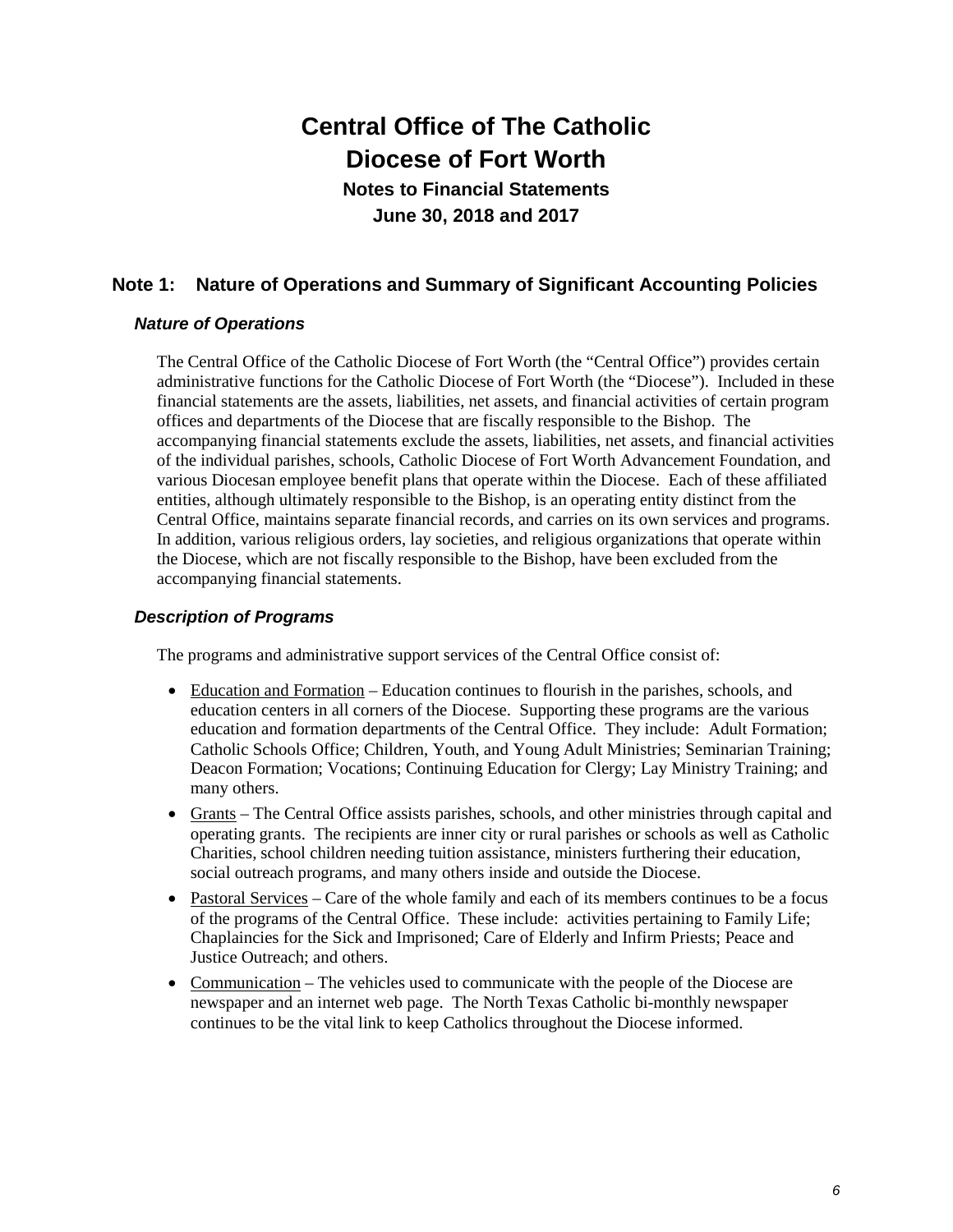**June 30, 2018 and 2017**

### **Note 1: Nature of Operations and Summary of Significant Accounting Policies**

### *Nature of Operations*

The Central Office of the Catholic Diocese of Fort Worth (the "Central Office") provides certain administrative functions for the Catholic Diocese of Fort Worth (the "Diocese"). Included in these financial statements are the assets, liabilities, net assets, and financial activities of certain program offices and departments of the Diocese that are fiscally responsible to the Bishop. The accompanying financial statements exclude the assets, liabilities, net assets, and financial activities of the individual parishes, schools, Catholic Diocese of Fort Worth Advancement Foundation, and various Diocesan employee benefit plans that operate within the Diocese. Each of these affiliated entities, although ultimately responsible to the Bishop, is an operating entity distinct from the Central Office, maintains separate financial records, and carries on its own services and programs. In addition, various religious orders, lay societies, and religious organizations that operate within the Diocese, which are not fiscally responsible to the Bishop, have been excluded from the accompanying financial statements.

### *Description of Programs*

The programs and administrative support services of the Central Office consist of:

- Education and Formation Education continues to flourish in the parishes, schools, and education centers in all corners of the Diocese. Supporting these programs are the various education and formation departments of the Central Office. They include: Adult Formation; Catholic Schools Office; Children, Youth, and Young Adult Ministries; Seminarian Training; Deacon Formation; Vocations; Continuing Education for Clergy; Lay Ministry Training; and many others.
- Grants The Central Office assists parishes, schools, and other ministries through capital and operating grants. The recipients are inner city or rural parishes or schools as well as Catholic Charities, school children needing tuition assistance, ministers furthering their education, social outreach programs, and many others inside and outside the Diocese.
- Pastoral Services Care of the whole family and each of its members continues to be a focus of the programs of the Central Office. These include: activities pertaining to Family Life; Chaplaincies for the Sick and Imprisoned; Care of Elderly and Infirm Priests; Peace and Justice Outreach; and others.
- Communication The vehicles used to communicate with the people of the Diocese are newspaper and an internet web page. The North Texas Catholic bi-monthly newspaper continues to be the vital link to keep Catholics throughout the Diocese informed.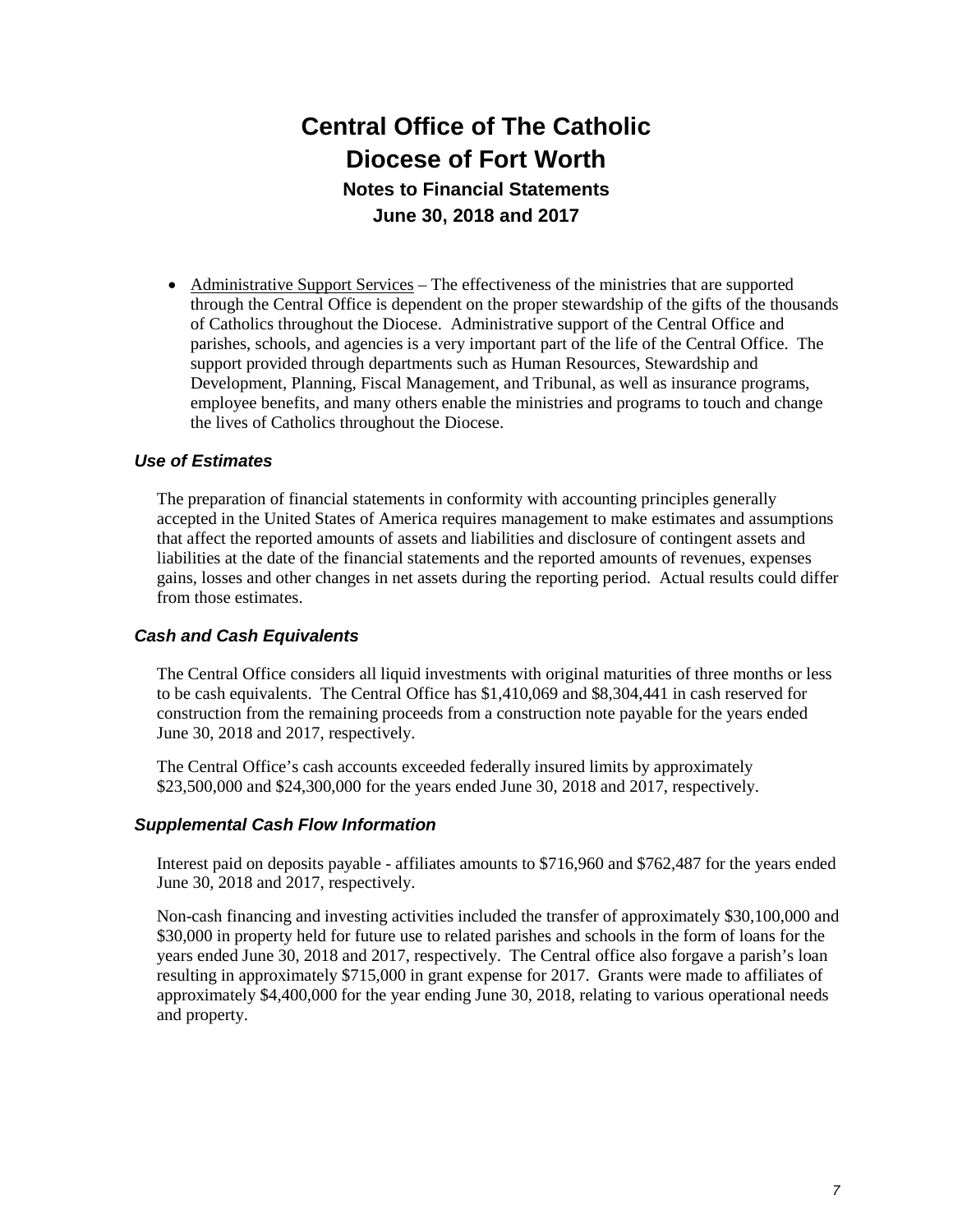• Administrative Support Services – The effectiveness of the ministries that are supported through the Central Office is dependent on the proper stewardship of the gifts of the thousands of Catholics throughout the Diocese. Administrative support of the Central Office and parishes, schools, and agencies is a very important part of the life of the Central Office. The support provided through departments such as Human Resources, Stewardship and Development, Planning, Fiscal Management, and Tribunal, as well as insurance programs, employee benefits, and many others enable the ministries and programs to touch and change the lives of Catholics throughout the Diocese.

### *Use of Estimates*

The preparation of financial statements in conformity with accounting principles generally accepted in the United States of America requires management to make estimates and assumptions that affect the reported amounts of assets and liabilities and disclosure of contingent assets and liabilities at the date of the financial statements and the reported amounts of revenues, expenses gains, losses and other changes in net assets during the reporting period. Actual results could differ from those estimates.

### *Cash and Cash Equivalents*

The Central Office considers all liquid investments with original maturities of three months or less to be cash equivalents. The Central Office has \$1,410,069 and \$8,304,441 in cash reserved for construction from the remaining proceeds from a construction note payable for the years ended June 30, 2018 and 2017, respectively.

The Central Office's cash accounts exceeded federally insured limits by approximately \$23,500,000 and \$24,300,000 for the years ended June 30, 2018 and 2017, respectively.

### *Supplemental Cash Flow Information*

Interest paid on deposits payable - affiliates amounts to \$716,960 and \$762,487 for the years ended June 30, 2018 and 2017, respectively.

Non-cash financing and investing activities included the transfer of approximately \$30,100,000 and \$30,000 in property held for future use to related parishes and schools in the form of loans for the years ended June 30, 2018 and 2017, respectively. The Central office also forgave a parish's loan resulting in approximately \$715,000 in grant expense for 2017. Grants were made to affiliates of approximately \$4,400,000 for the year ending June 30, 2018, relating to various operational needs and property.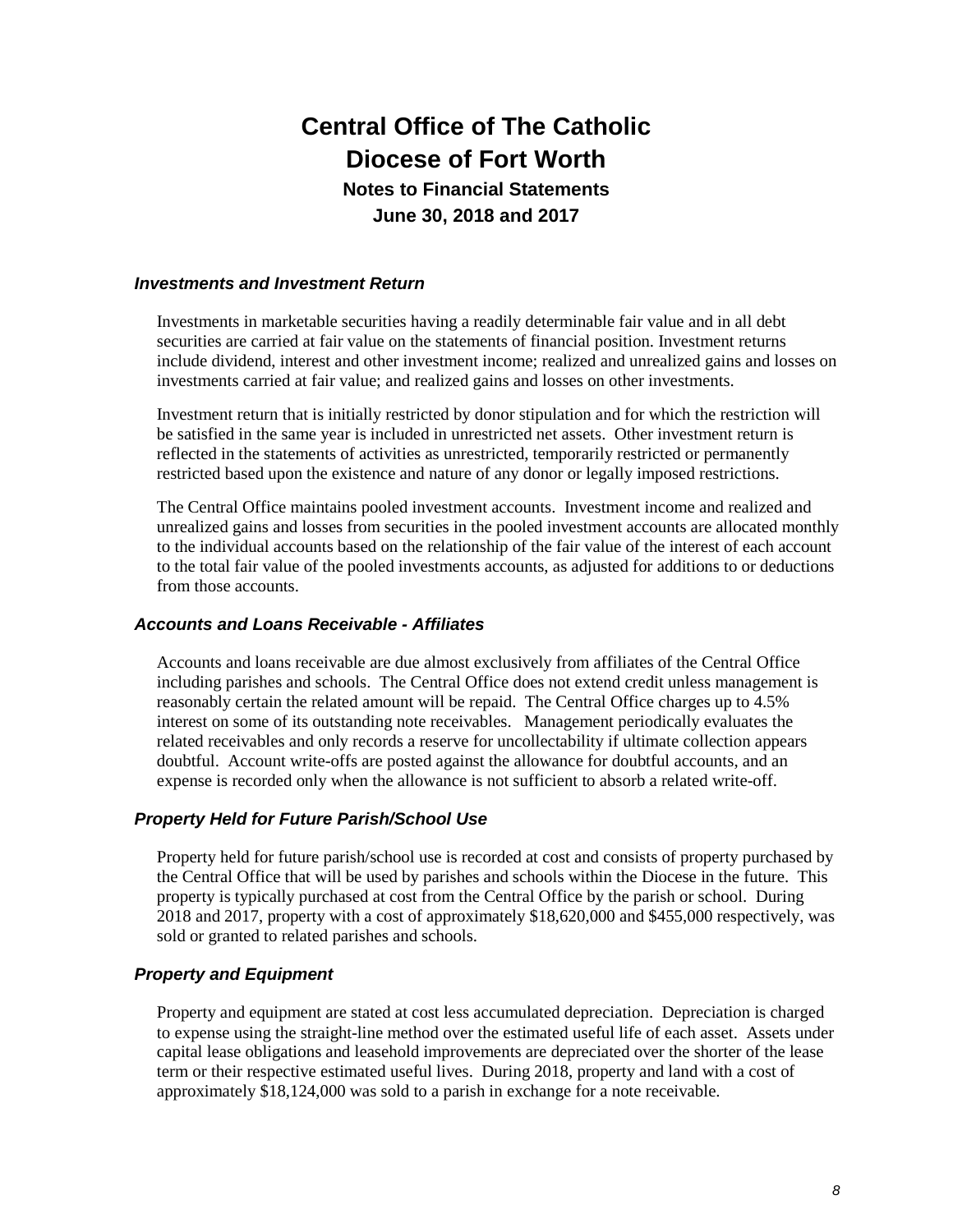#### *Investments and Investment Return*

Investments in marketable securities having a readily determinable fair value and in all debt securities are carried at fair value on the statements of financial position. Investment returns include dividend, interest and other investment income; realized and unrealized gains and losses on investments carried at fair value; and realized gains and losses on other investments.

Investment return that is initially restricted by donor stipulation and for which the restriction will be satisfied in the same year is included in unrestricted net assets. Other investment return is reflected in the statements of activities as unrestricted, temporarily restricted or permanently restricted based upon the existence and nature of any donor or legally imposed restrictions.

The Central Office maintains pooled investment accounts. Investment income and realized and unrealized gains and losses from securities in the pooled investment accounts are allocated monthly to the individual accounts based on the relationship of the fair value of the interest of each account to the total fair value of the pooled investments accounts, as adjusted for additions to or deductions from those accounts.

#### *Accounts and Loans Receivable - Affiliates*

Accounts and loans receivable are due almost exclusively from affiliates of the Central Office including parishes and schools. The Central Office does not extend credit unless management is reasonably certain the related amount will be repaid. The Central Office charges up to 4.5% interest on some of its outstanding note receivables. Management periodically evaluates the related receivables and only records a reserve for uncollectability if ultimate collection appears doubtful. Account write-offs are posted against the allowance for doubtful accounts, and an expense is recorded only when the allowance is not sufficient to absorb a related write-off.

### *Property Held for Future Parish/School Use*

Property held for future parish/school use is recorded at cost and consists of property purchased by the Central Office that will be used by parishes and schools within the Diocese in the future. This property is typically purchased at cost from the Central Office by the parish or school. During 2018 and 2017, property with a cost of approximately \$18,620,000 and \$455,000 respectively, was sold or granted to related parishes and schools.

### *Property and Equipment*

Property and equipment are stated at cost less accumulated depreciation. Depreciation is charged to expense using the straight-line method over the estimated useful life of each asset. Assets under capital lease obligations and leasehold improvements are depreciated over the shorter of the lease term or their respective estimated useful lives. During 2018, property and land with a cost of approximately \$18,124,000 was sold to a parish in exchange for a note receivable.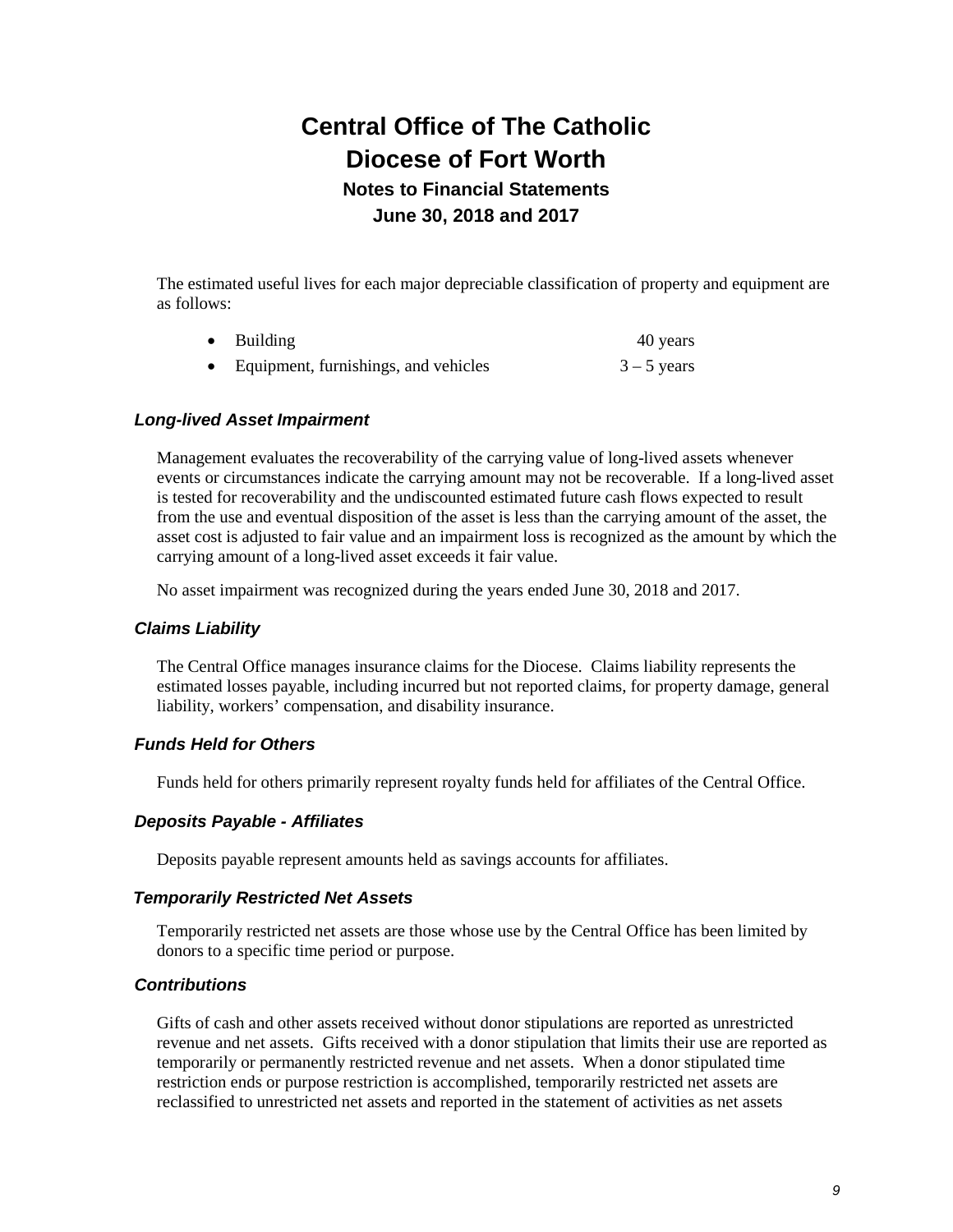The estimated useful lives for each major depreciable classification of property and equipment are as follows:

| $\bullet$ Building                     | 40 years      |
|----------------------------------------|---------------|
| • Equipment, furnishings, and vehicles | $3 - 5$ years |

### *Long-lived Asset Impairment*

Management evaluates the recoverability of the carrying value of long-lived assets whenever events or circumstances indicate the carrying amount may not be recoverable. If a long-lived asset is tested for recoverability and the undiscounted estimated future cash flows expected to result from the use and eventual disposition of the asset is less than the carrying amount of the asset, the asset cost is adjusted to fair value and an impairment loss is recognized as the amount by which the carrying amount of a long-lived asset exceeds it fair value.

No asset impairment was recognized during the years ended June 30, 2018 and 2017.

#### *Claims Liability*

The Central Office manages insurance claims for the Diocese. Claims liability represents the estimated losses payable, including incurred but not reported claims, for property damage, general liability, workers' compensation, and disability insurance.

#### *Funds Held for Others*

Funds held for others primarily represent royalty funds held for affiliates of the Central Office.

#### *Deposits Payable - Affiliates*

Deposits payable represent amounts held as savings accounts for affiliates.

#### *Temporarily Restricted Net Assets*

Temporarily restricted net assets are those whose use by the Central Office has been limited by donors to a specific time period or purpose.

#### *Contributions*

Gifts of cash and other assets received without donor stipulations are reported as unrestricted revenue and net assets. Gifts received with a donor stipulation that limits their use are reported as temporarily or permanently restricted revenue and net assets. When a donor stipulated time restriction ends or purpose restriction is accomplished, temporarily restricted net assets are reclassified to unrestricted net assets and reported in the statement of activities as net assets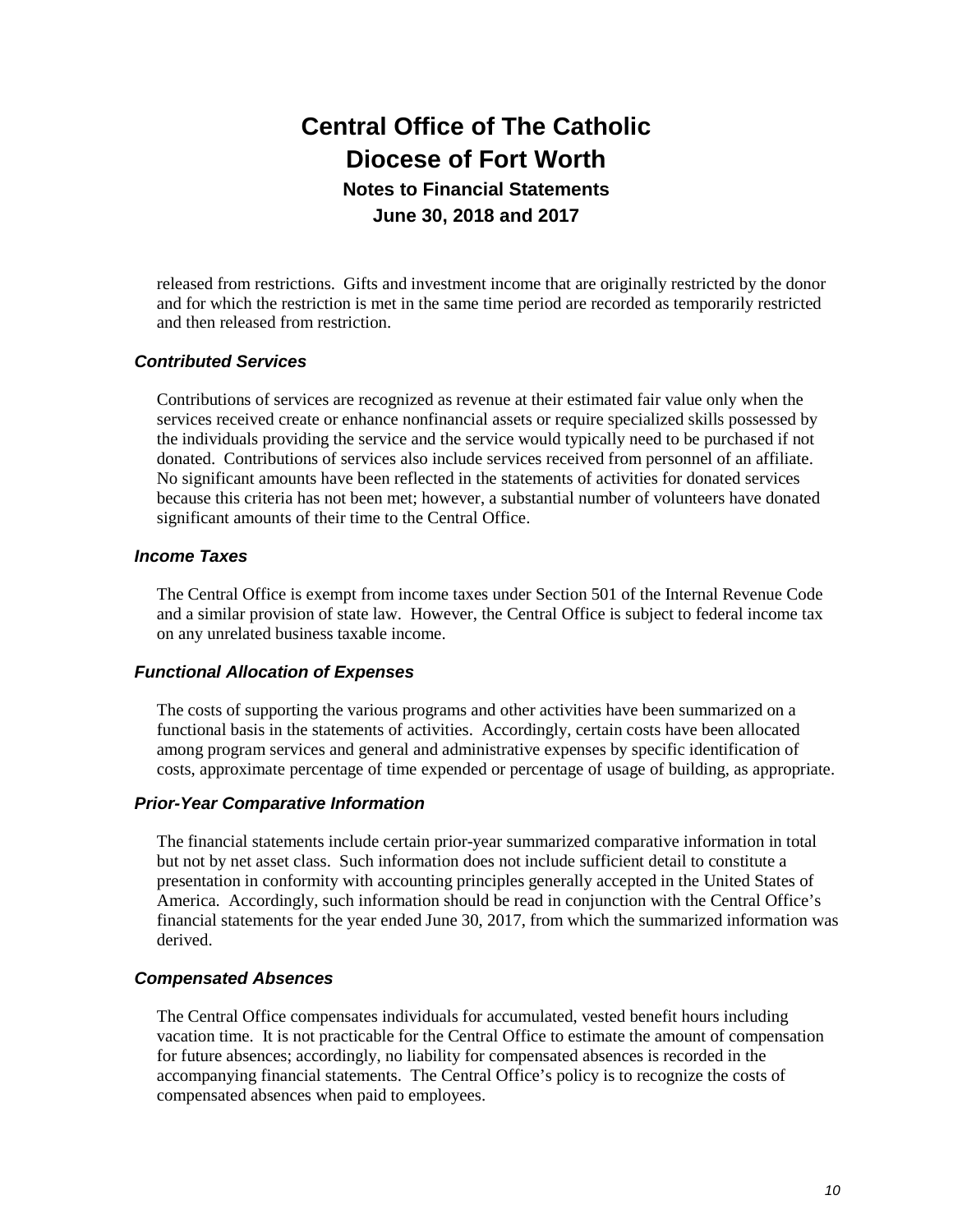released from restrictions. Gifts and investment income that are originally restricted by the donor and for which the restriction is met in the same time period are recorded as temporarily restricted and then released from restriction.

### *Contributed Services*

Contributions of services are recognized as revenue at their estimated fair value only when the services received create or enhance nonfinancial assets or require specialized skills possessed by the individuals providing the service and the service would typically need to be purchased if not donated. Contributions of services also include services received from personnel of an affiliate. No significant amounts have been reflected in the statements of activities for donated services because this criteria has not been met; however, a substantial number of volunteers have donated significant amounts of their time to the Central Office.

### *Income Taxes*

The Central Office is exempt from income taxes under Section 501 of the Internal Revenue Code and a similar provision of state law. However, the Central Office is subject to federal income tax on any unrelated business taxable income.

### *Functional Allocation of Expenses*

The costs of supporting the various programs and other activities have been summarized on a functional basis in the statements of activities. Accordingly, certain costs have been allocated among program services and general and administrative expenses by specific identification of costs, approximate percentage of time expended or percentage of usage of building, as appropriate.

### *Prior-Year Comparative Information*

The financial statements include certain prior-year summarized comparative information in total but not by net asset class. Such information does not include sufficient detail to constitute a presentation in conformity with accounting principles generally accepted in the United States of America. Accordingly, such information should be read in conjunction with the Central Office's financial statements for the year ended June 30, 2017, from which the summarized information was derived.

### *Compensated Absences*

The Central Office compensates individuals for accumulated, vested benefit hours including vacation time. It is not practicable for the Central Office to estimate the amount of compensation for future absences; accordingly, no liability for compensated absences is recorded in the accompanying financial statements. The Central Office's policy is to recognize the costs of compensated absences when paid to employees.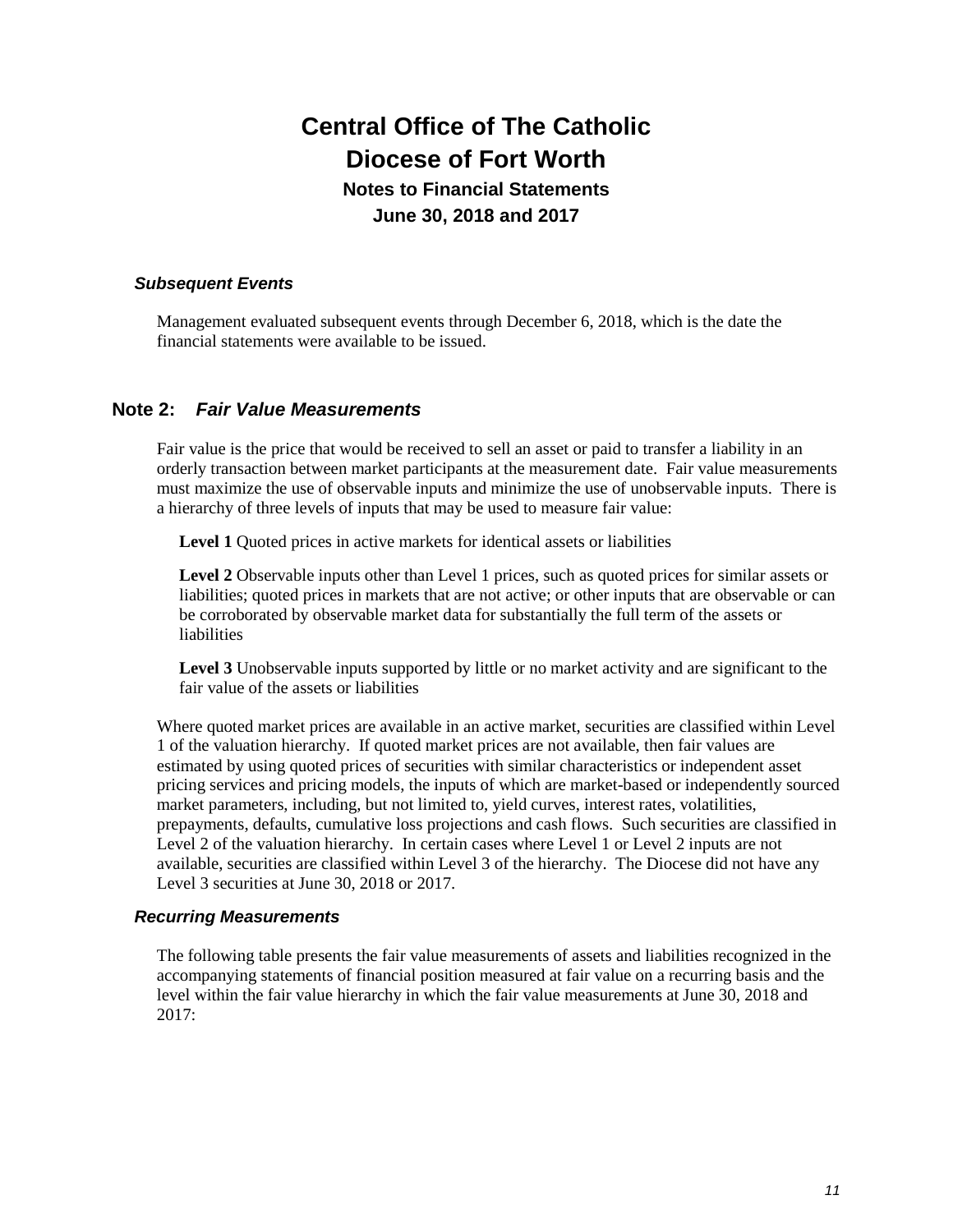**June 30, 2018 and 2017**

### *Subsequent Events*

Management evaluated subsequent events through December 6, 2018, which is the date the financial statements were available to be issued.

### **Note 2:** *Fair Value Measurements*

Fair value is the price that would be received to sell an asset or paid to transfer a liability in an orderly transaction between market participants at the measurement date. Fair value measurements must maximize the use of observable inputs and minimize the use of unobservable inputs. There is a hierarchy of three levels of inputs that may be used to measure fair value:

**Level 1** Quoted prices in active markets for identical assets or liabilities

**Level 2** Observable inputs other than Level 1 prices, such as quoted prices for similar assets or liabilities; quoted prices in markets that are not active; or other inputs that are observable or can be corroborated by observable market data for substantially the full term of the assets or liabilities

**Level 3** Unobservable inputs supported by little or no market activity and are significant to the fair value of the assets or liabilities

Where quoted market prices are available in an active market, securities are classified within Level 1 of the valuation hierarchy. If quoted market prices are not available, then fair values are estimated by using quoted prices of securities with similar characteristics or independent asset pricing services and pricing models, the inputs of which are market-based or independently sourced market parameters, including, but not limited to, yield curves, interest rates, volatilities, prepayments, defaults, cumulative loss projections and cash flows. Such securities are classified in Level 2 of the valuation hierarchy. In certain cases where Level 1 or Level 2 inputs are not available, securities are classified within Level 3 of the hierarchy. The Diocese did not have any Level 3 securities at June 30, 2018 or 2017.

#### *Recurring Measurements*

The following table presents the fair value measurements of assets and liabilities recognized in the accompanying statements of financial position measured at fair value on a recurring basis and the level within the fair value hierarchy in which the fair value measurements at June 30, 2018 and 2017: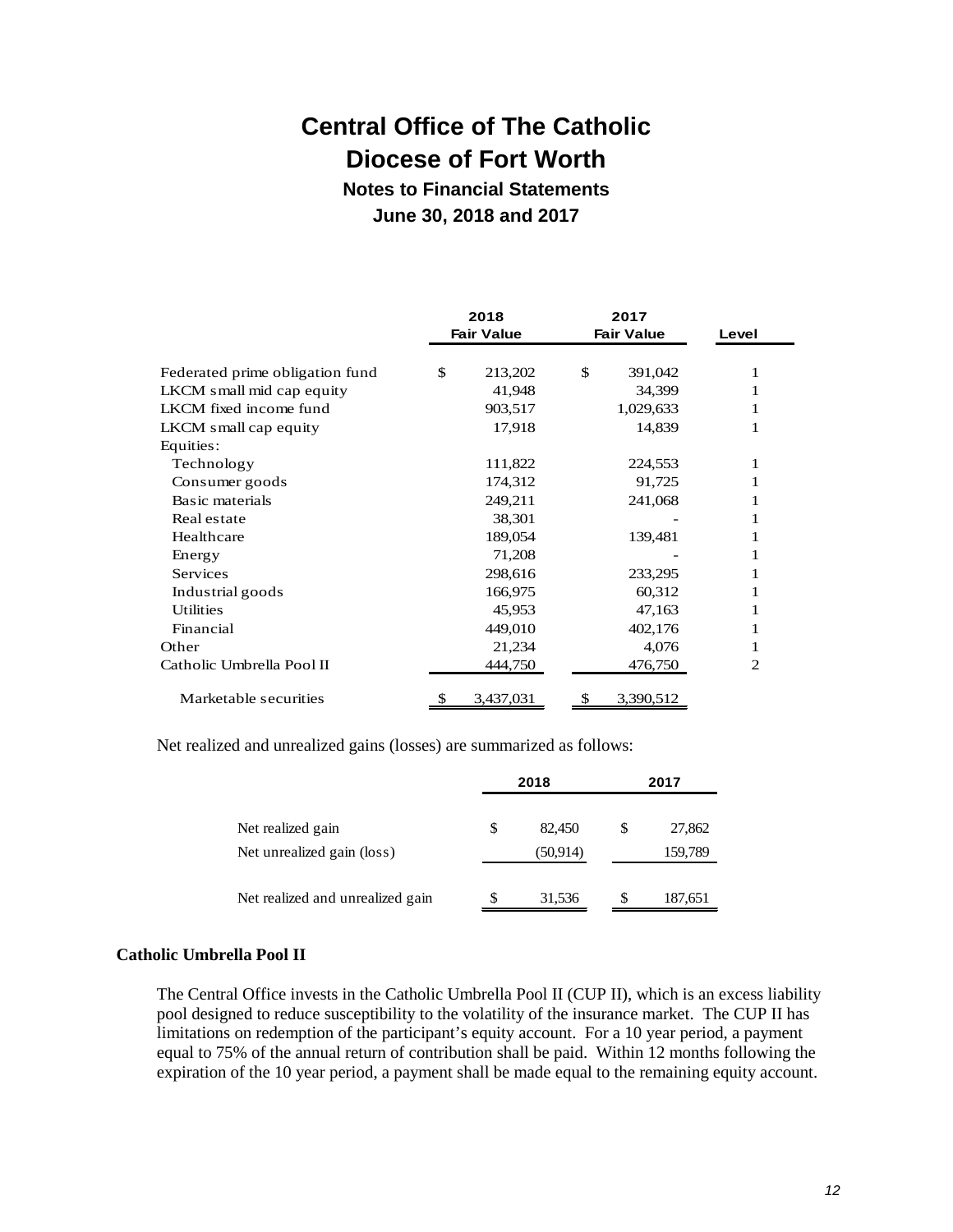**Notes to Financial Statements June 30, 2018 and 2017**

|                                 | 2018<br><b>Fair Value</b> |           | 2017<br><b>Fair Value</b> | Level |
|---------------------------------|---------------------------|-----------|---------------------------|-------|
|                                 |                           |           |                           |       |
| Federated prime obligation fund | \$                        | 213,202   | \$<br>391,042             | 1     |
| LKCM small mid cap equity       |                           | 41,948    | 34,399                    | 1     |
| LKCM fixed income fund          |                           | 903,517   | 1,029,633                 |       |
| LKCM small cap equity           |                           | 17,918    | 14,839                    | 1     |
| Equities:                       |                           |           |                           |       |
| Technology                      |                           | 111,822   | 224,553                   | 1     |
| Consumer goods                  |                           | 174,312   | 91,725                    | 1     |
| Basic materials                 |                           | 249,211   | 241,068                   | 1     |
| Real estate                     |                           | 38,301    |                           | 1     |
| Healthcare                      |                           | 189,054   | 139,481                   | 1     |
| Energy                          |                           | 71,208    |                           | 1     |
| Services                        |                           | 298,616   | 233,295                   | 1     |
| Industrial goods                |                           | 166,975   | 60,312                    | 1     |
| <b>Utilities</b>                |                           | 45,953    | 47,163                    | 1     |
| Financial                       |                           | 449,010   | 402,176                   | 1     |
| Other                           |                           | 21,234    | 4,076                     |       |
| Catholic Umbrella Pool II       |                           | 444,750   | 476,750                   | 2     |
| Marketable securities           | \$                        | 3,437,031 | \$<br>3,390,512           |       |

Net realized and unrealized gains (losses) are summarized as follows:

|                                  | 2018         |    | 2017    |  |  |
|----------------------------------|--------------|----|---------|--|--|
| Net realized gain                | \$<br>82,450 | \$ | 27,862  |  |  |
| Net unrealized gain (loss)       | (50, 914)    |    | 159,789 |  |  |
|                                  |              |    |         |  |  |
| Net realized and unrealized gain | 31,536       | S. | 187,651 |  |  |

#### **Catholic Umbrella Pool II**

The Central Office invests in the Catholic Umbrella Pool II (CUP II), which is an excess liability pool designed to reduce susceptibility to the volatility of the insurance market. The CUP II has limitations on redemption of the participant's equity account. For a 10 year period, a payment equal to 75% of the annual return of contribution shall be paid. Within 12 months following the expiration of the 10 year period, a payment shall be made equal to the remaining equity account.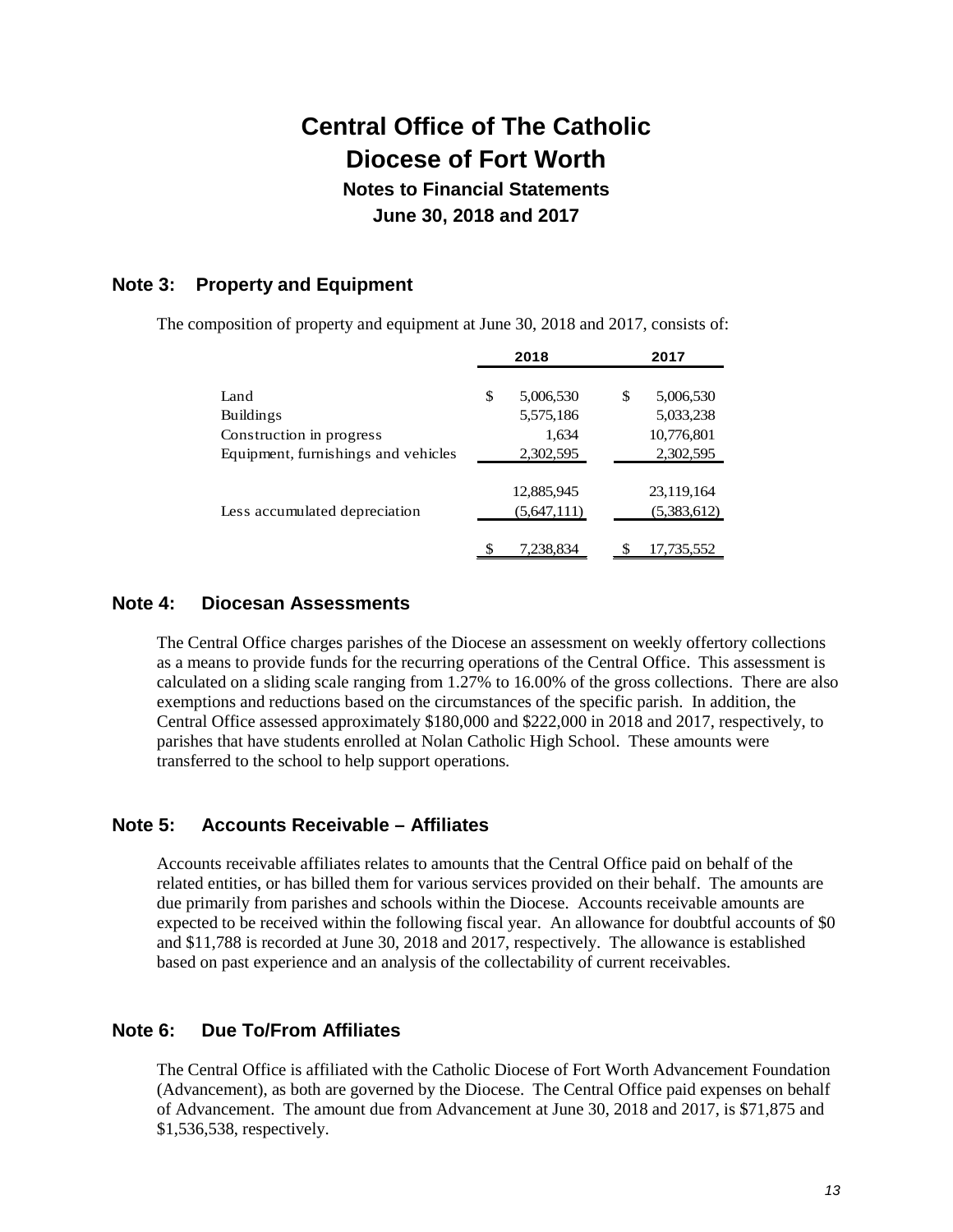### **Notes to Financial Statements June 30, 2018 and 2017**

### **Note 3: Property and Equipment**

The composition of property and equipment at June 30, 2018 and 2017, consists of:

|                                     |    | 2018          | 2017 |             |  |
|-------------------------------------|----|---------------|------|-------------|--|
|                                     |    |               |      |             |  |
| Land                                | \$ | 5,006,530     | \$   | 5,006,530   |  |
| <b>Buildings</b>                    |    | 5,575,186     |      | 5,033,238   |  |
| Construction in progress            |    | 1,634         |      | 10,776,801  |  |
| Equipment, furnishings and vehicles |    | 2,302,595     |      | 2,302,595   |  |
|                                     |    |               |      |             |  |
|                                     |    | 12,885,945    |      | 23,119,164  |  |
| Less accumulated depreciation       |    | (5, 647, 111) |      | (5,383,612) |  |
|                                     |    |               |      |             |  |
|                                     | S  | 7.238.834     |      | 17.735.552  |  |

### **Note 4: Diocesan Assessments**

The Central Office charges parishes of the Diocese an assessment on weekly offertory collections as a means to provide funds for the recurring operations of the Central Office. This assessment is calculated on a sliding scale ranging from 1.27% to 16.00% of the gross collections. There are also exemptions and reductions based on the circumstances of the specific parish. In addition, the Central Office assessed approximately \$180,000 and \$222,000 in 2018 and 2017, respectively, to parishes that have students enrolled at Nolan Catholic High School. These amounts were transferred to the school to help support operations.

### **Note 5: Accounts Receivable – Affiliates**

Accounts receivable affiliates relates to amounts that the Central Office paid on behalf of the related entities, or has billed them for various services provided on their behalf. The amounts are due primarily from parishes and schools within the Diocese. Accounts receivable amounts are expected to be received within the following fiscal year. An allowance for doubtful accounts of \$0 and \$11,788 is recorded at June 30, 2018 and 2017, respectively. The allowance is established based on past experience and an analysis of the collectability of current receivables.

### **Note 6: Due To/From Affiliates**

The Central Office is affiliated with the Catholic Diocese of Fort Worth Advancement Foundation (Advancement), as both are governed by the Diocese. The Central Office paid expenses on behalf of Advancement. The amount due from Advancement at June 30, 2018 and 2017, is \$71,875 and \$1,536,538, respectively.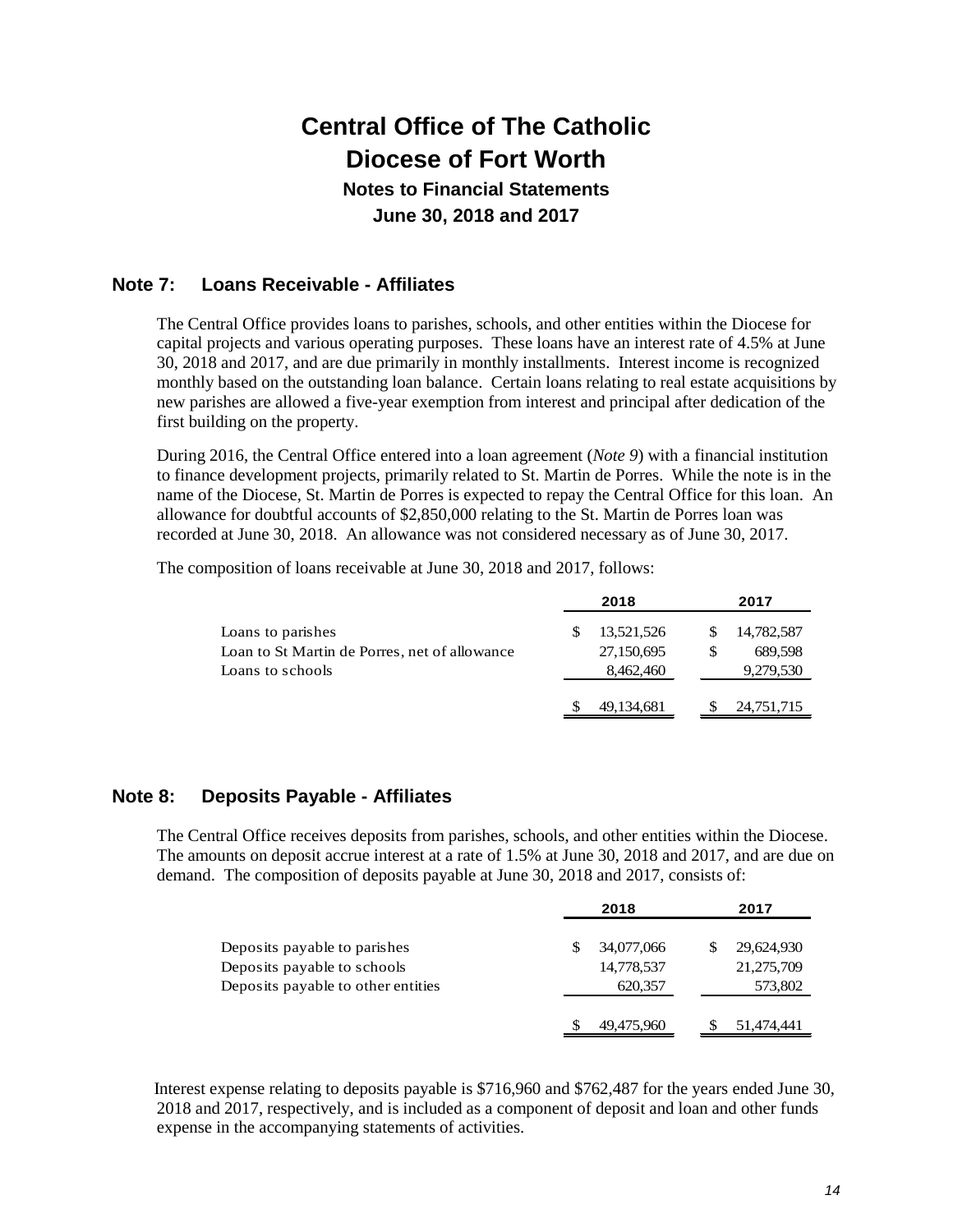**June 30, 2018 and 2017**

### **Note 7: Loans Receivable - Affiliates**

The Central Office provides loans to parishes, schools, and other entities within the Diocese for capital projects and various operating purposes. These loans have an interest rate of 4.5% at June 30, 2018 and 2017, and are due primarily in monthly installments. Interest income is recognized monthly based on the outstanding loan balance. Certain loans relating to real estate acquisitions by new parishes are allowed a five-year exemption from interest and principal after dedication of the first building on the property.

During 2016, the Central Office entered into a loan agreement (*Note 9*) with a financial institution to finance development projects, primarily related to St. Martin de Porres. While the note is in the name of the Diocese, St. Martin de Porres is expected to repay the Central Office for this loan. An allowance for doubtful accounts of \$2,850,000 relating to the St. Martin de Porres loan was recorded at June 30, 2018. An allowance was not considered necessary as of June 30, 2017.

The composition of loans receivable at June 30, 2018 and 2017, follows:

|                                                                                        | 2018                                  |   | 2017                               |
|----------------------------------------------------------------------------------------|---------------------------------------|---|------------------------------------|
| Loans to parishes<br>Loan to St Martin de Porres, net of allowance<br>Loans to schools | 13,521,526<br>27,150,695<br>8,462,460 | S | 14,782,587<br>689,598<br>9,279,530 |
|                                                                                        | 49, 134, 681                          |   | 24,751,715                         |

### **Note 8: Deposits Payable - Affiliates**

The Central Office receives deposits from parishes, schools, and other entities within the Diocese. The amounts on deposit accrue interest at a rate of 1.5% at June 30, 2018 and 2017, and are due on demand. The composition of deposits payable at June 30, 2018 and 2017, consists of:

|                                                                                                   | 2018 |                                     |   | 2017                                |
|---------------------------------------------------------------------------------------------------|------|-------------------------------------|---|-------------------------------------|
| Deposits payable to parishes<br>Deposits payable to schools<br>Deposits payable to other entities |      | 34,077,066<br>14,778,537<br>620,357 | S | 29,624,930<br>21,275,709<br>573,802 |
|                                                                                                   |      | 49,475,960                          |   | 51,474,441                          |

Interest expense relating to deposits payable is \$716,960 and \$762,487 for the years ended June 30, 2018 and 2017, respectively, and is included as a component of deposit and loan and other funds expense in the accompanying statements of activities.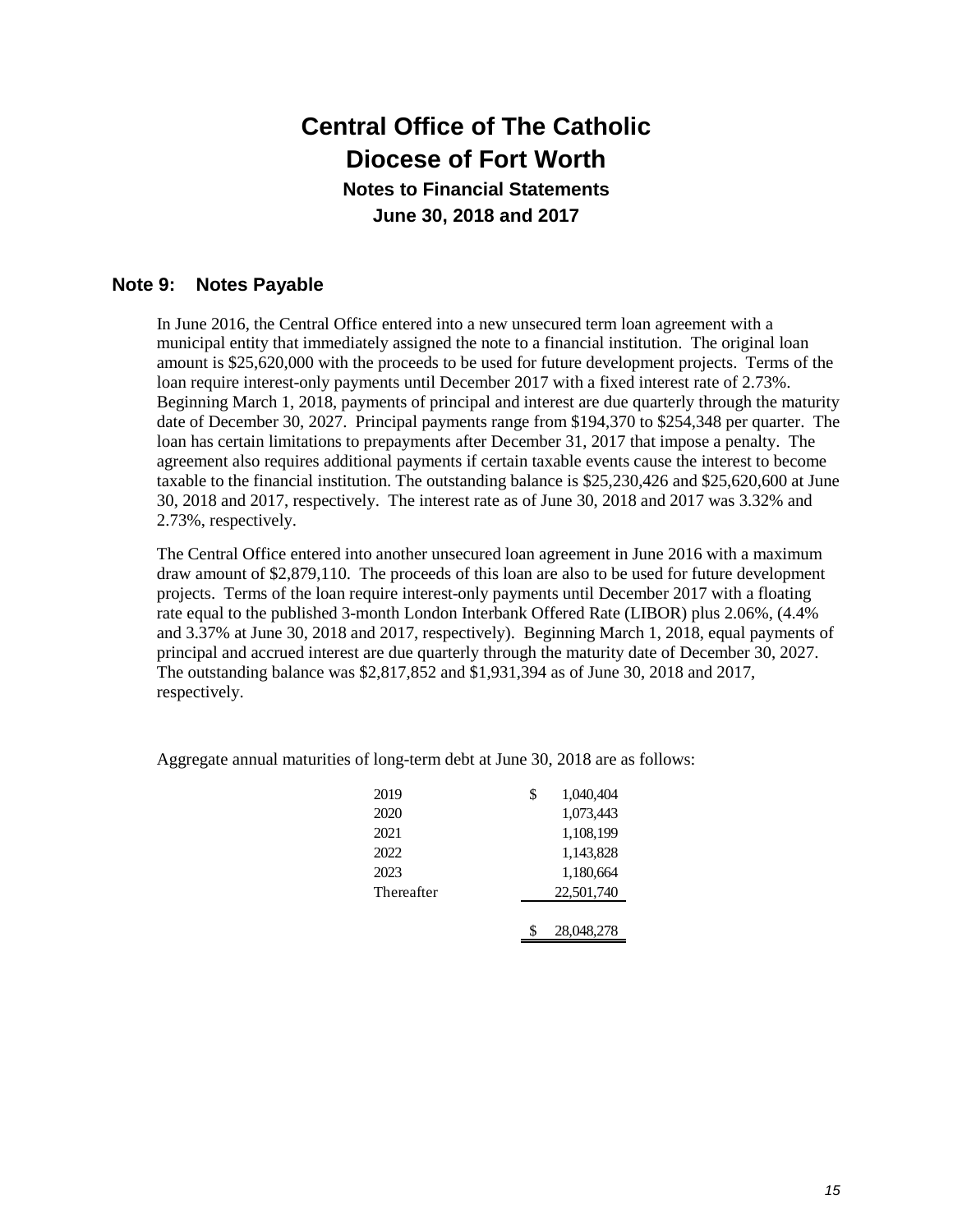### **Note 9: Notes Payable**

In June 2016, the Central Office entered into a new unsecured term loan agreement with a municipal entity that immediately assigned the note to a financial institution. The original loan amount is \$25,620,000 with the proceeds to be used for future development projects. Terms of the loan require interest-only payments until December 2017 with a fixed interest rate of 2.73%. Beginning March 1, 2018, payments of principal and interest are due quarterly through the maturity date of December 30, 2027. Principal payments range from \$194,370 to \$254,348 per quarter. The loan has certain limitations to prepayments after December 31, 2017 that impose a penalty. The agreement also requires additional payments if certain taxable events cause the interest to become taxable to the financial institution. The outstanding balance is \$25,230,426 and \$25,620,600 at June 30, 2018 and 2017, respectively. The interest rate as of June 30, 2018 and 2017 was 3.32% and 2.73%, respectively.

The Central Office entered into another unsecured loan agreement in June 2016 with a maximum draw amount of \$2,879,110. The proceeds of this loan are also to be used for future development projects. Terms of the loan require interest-only payments until December 2017 with a floating rate equal to the published 3-month London Interbank Offered Rate (LIBOR) plus 2.06%, (4.4% and 3.37% at June 30, 2018 and 2017, respectively). Beginning March 1, 2018, equal payments of principal and accrued interest are due quarterly through the maturity date of December 30, 2027. The outstanding balance was \$2,817,852 and \$1,931,394 as of June 30, 2018 and 2017, respectively.

Aggregate annual maturities of long-term debt at June 30, 2018 are as follows:

| 2019       | \$<br>1,040,404 |
|------------|-----------------|
| 2020       | 1,073,443       |
| 2021       | 1,108,199       |
| 2022       | 1,143,828       |
| 2023       | 1,180,664       |
| Thereafter | 22,501,740      |
|            |                 |

\$ 28,048,278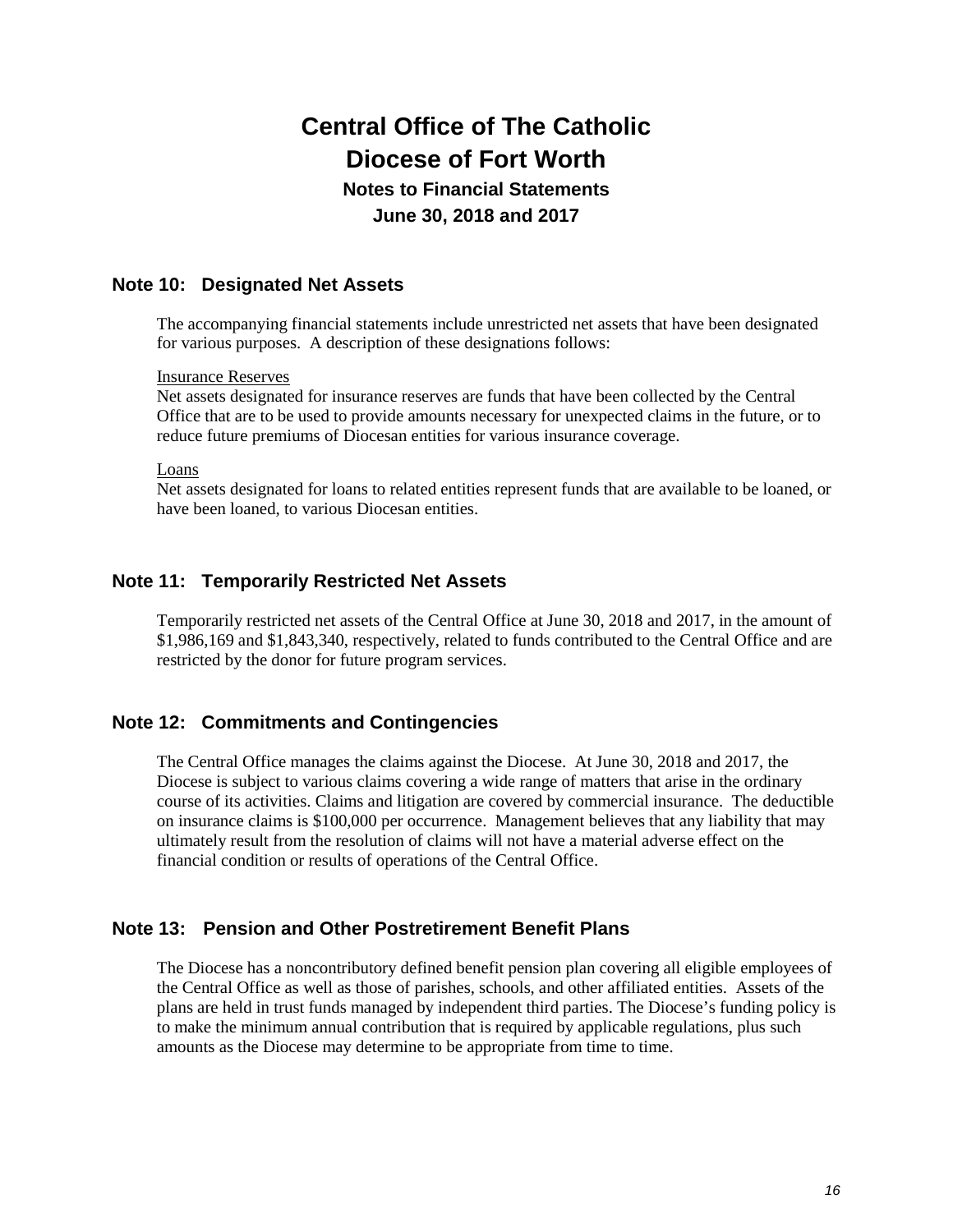# **June 30, 2018 and 2017**

### **Note 10: Designated Net Assets**

The accompanying financial statements include unrestricted net assets that have been designated for various purposes. A description of these designations follows:

#### Insurance Reserves

Net assets designated for insurance reserves are funds that have been collected by the Central Office that are to be used to provide amounts necessary for unexpected claims in the future, or to reduce future premiums of Diocesan entities for various insurance coverage.

Loans

Net assets designated for loans to related entities represent funds that are available to be loaned, or have been loaned, to various Diocesan entities.

### **Note 11: Temporarily Restricted Net Assets**

Temporarily restricted net assets of the Central Office at June 30, 2018 and 2017, in the amount of \$1,986,169 and \$1,843,340, respectively, related to funds contributed to the Central Office and are restricted by the donor for future program services.

### **Note 12: Commitments and Contingencies**

The Central Office manages the claims against the Diocese. At June 30, 2018 and 2017, the Diocese is subject to various claims covering a wide range of matters that arise in the ordinary course of its activities. Claims and litigation are covered by commercial insurance. The deductible on insurance claims is \$100,000 per occurrence. Management believes that any liability that may ultimately result from the resolution of claims will not have a material adverse effect on the financial condition or results of operations of the Central Office.

### **Note 13: Pension and Other Postretirement Benefit Plans**

The Diocese has a noncontributory defined benefit pension plan covering all eligible employees of the Central Office as well as those of parishes, schools, and other affiliated entities. Assets of the plans are held in trust funds managed by independent third parties. The Diocese's funding policy is to make the minimum annual contribution that is required by applicable regulations, plus such amounts as the Diocese may determine to be appropriate from time to time.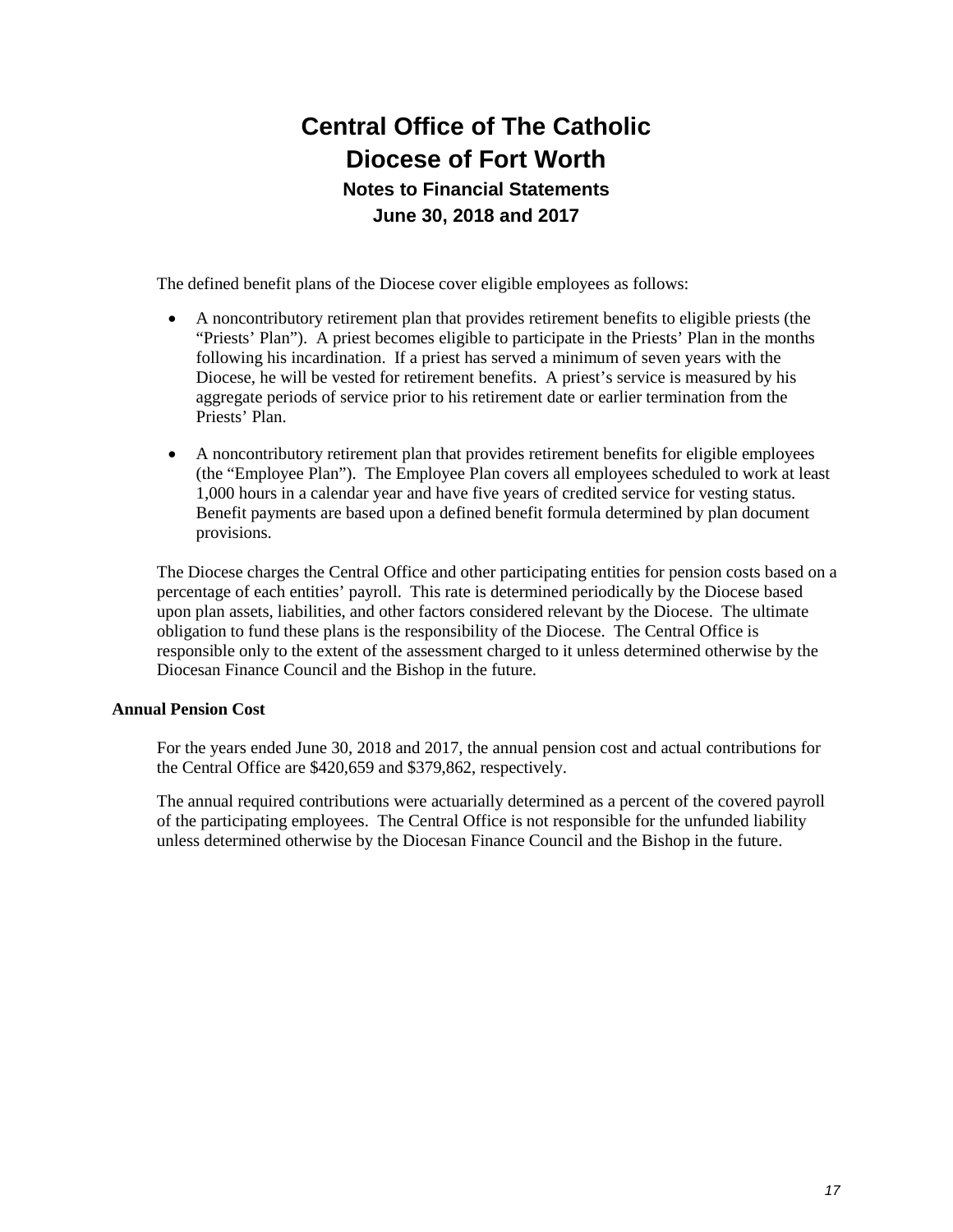The defined benefit plans of the Diocese cover eligible employees as follows:

- A noncontributory retirement plan that provides retirement benefits to eligible priests (the "Priests' Plan"). A priest becomes eligible to participate in the Priests' Plan in the months following his incardination. If a priest has served a minimum of seven years with the Diocese, he will be vested for retirement benefits. A priest's service is measured by his aggregate periods of service prior to his retirement date or earlier termination from the Priests' Plan.
- A noncontributory retirement plan that provides retirement benefits for eligible employees (the "Employee Plan"). The Employee Plan covers all employees scheduled to work at least 1,000 hours in a calendar year and have five years of credited service for vesting status. Benefit payments are based upon a defined benefit formula determined by plan document provisions.

The Diocese charges the Central Office and other participating entities for pension costs based on a percentage of each entities' payroll. This rate is determined periodically by the Diocese based upon plan assets, liabilities, and other factors considered relevant by the Diocese. The ultimate obligation to fund these plans is the responsibility of the Diocese. The Central Office is responsible only to the extent of the assessment charged to it unless determined otherwise by the Diocesan Finance Council and the Bishop in the future.

#### **Annual Pension Cost**

For the years ended June 30, 2018 and 2017, the annual pension cost and actual contributions for the Central Office are \$420,659 and \$379,862, respectively.

The annual required contributions were actuarially determined as a percent of the covered payroll of the participating employees. The Central Office is not responsible for the unfunded liability unless determined otherwise by the Diocesan Finance Council and the Bishop in the future.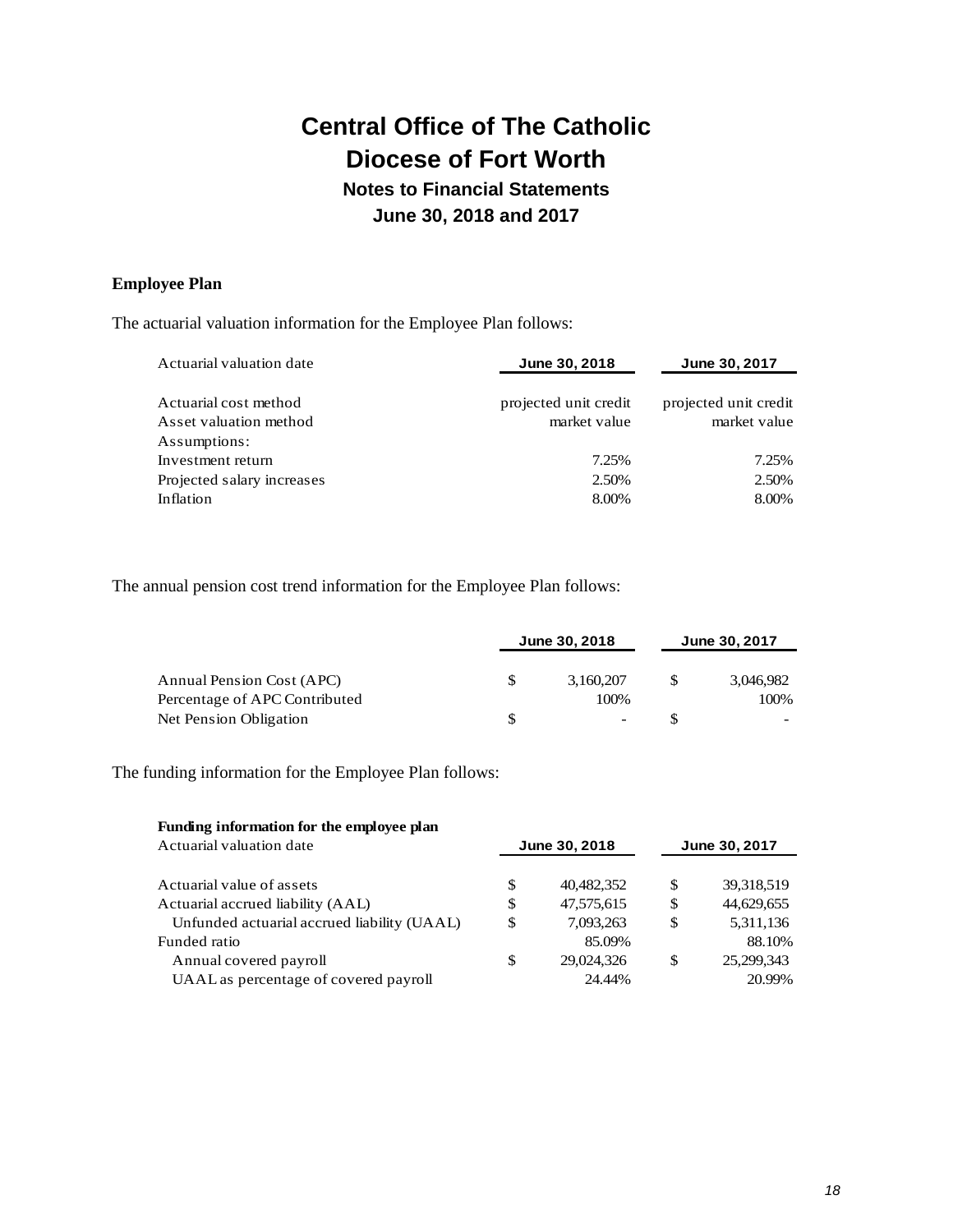### **Notes to Financial Statements June 30, 2018 and 2017**

#### **Employee Plan**

The actuarial valuation information for the Employee Plan follows:

| Actuarial valuation date   | June 30, 2018         | June 30, 2017         |  |
|----------------------------|-----------------------|-----------------------|--|
| Actuarial cost method      | projected unit credit | projected unit credit |  |
| Asset valuation method     | market value          | market value          |  |
| Assumptions:               |                       |                       |  |
| Investment return          | 7.25%                 | 7.25%                 |  |
| Projected salary increases | 2.50%                 | 2.50%                 |  |
| Inflation                  | 8.00%                 | 8.00%                 |  |

The annual pension cost trend information for the Employee Plan follows:

|                               | June 30, 2018 |           | June 30, 2017 |           |
|-------------------------------|---------------|-----------|---------------|-----------|
|                               |               |           |               |           |
| Annual Pension Cost (APC)     |               | 3.160.207 |               | 3.046.982 |
| Percentage of APC Contributed |               | 100\%     |               | 100%      |
| Net Pension Obligation        |               |           |               |           |

The funding information for the Employee Plan follows:

| Funding information for the employee plan   |    |               |    |               |  |
|---------------------------------------------|----|---------------|----|---------------|--|
| Actuarial valuation date                    |    | June 30, 2018 |    | June 30, 2017 |  |
|                                             |    |               |    |               |  |
| Actuarial value of assets                   | \$ | 40,482,352    | S  | 39,318,519    |  |
| Actuarial accrued liability (AAL)           | \$ | 47,575,615    | S  | 44,629,655    |  |
| Unfunded actuarial accrued liability (UAAL) | \$ | 7,093,263     | \$ | 5,311,136     |  |
| Funded ratio                                |    | 85.09%        |    | 88.10%        |  |
| Annual covered payroll                      | \$ | 29,024,326    | \$ | 25,299,343    |  |
| UAAL as percentage of covered payroll       |    | 24.44%        |    | 20.99%        |  |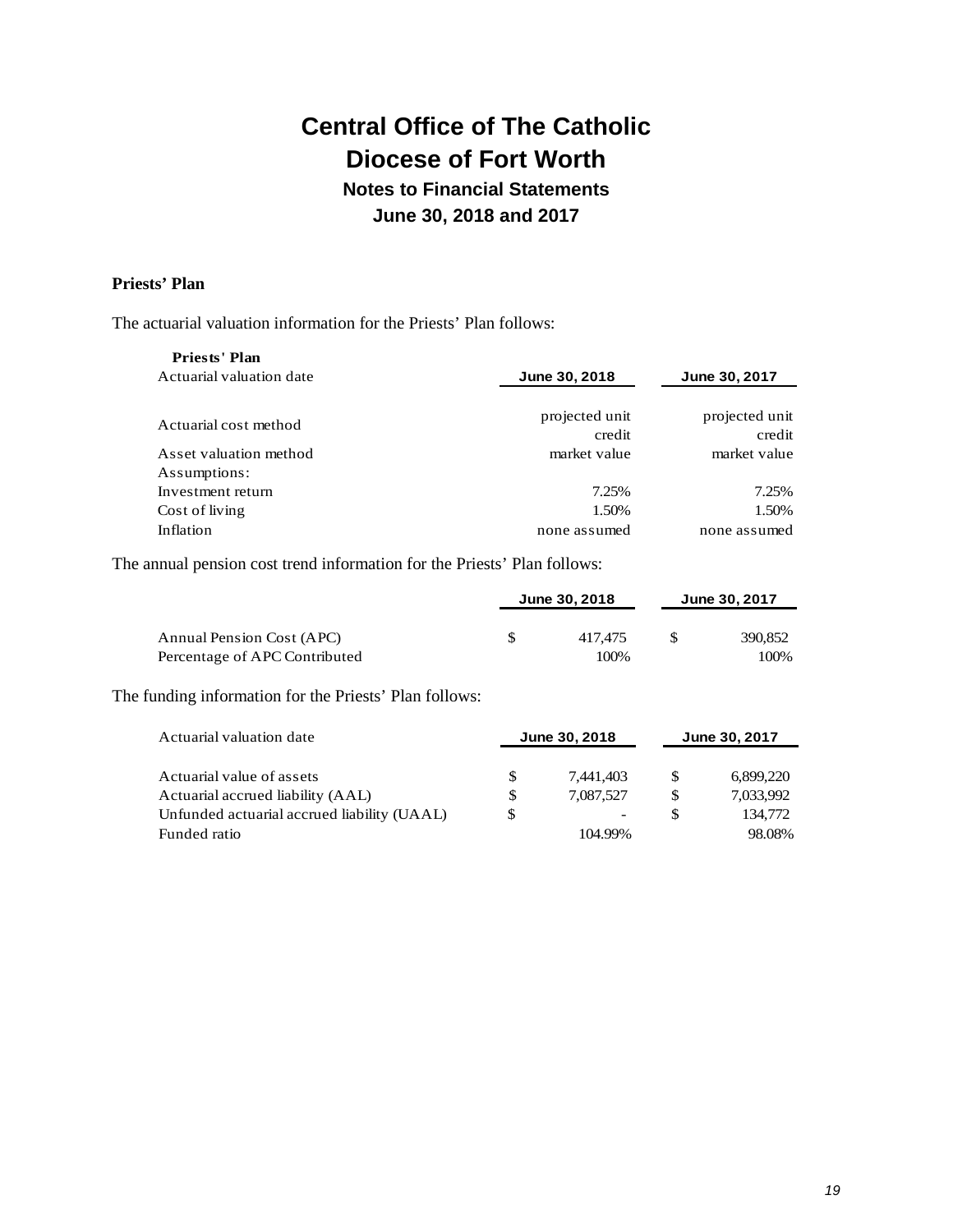### **Notes to Financial Statements June 30, 2018 and 2017**

### **Priests' Plan**

The actuarial valuation information for the Priests' Plan follows:

| <b>Priests' Plan</b>     |                          |                          |  |
|--------------------------|--------------------------|--------------------------|--|
| Actuarial valuation date | June 30, 2018            | June 30, 2017            |  |
| Actuarial cost method    | projected unit<br>credit | projected unit<br>credit |  |
| Asset valuation method   | market value             | market value             |  |
| Assumptions:             |                          |                          |  |
| Investment return        | 7.25%                    | 7.25%                    |  |
| Cost of living           | 1.50%                    | 1.50%                    |  |
| Inflation                | none assumed             | none assumed             |  |

The annual pension cost trend information for the Priests' Plan follows:

|                               | June 30, 2018 |         | June 30, 2017 |         |
|-------------------------------|---------------|---------|---------------|---------|
| Annual Pension Cost (APC)     | S.            | 417.475 |               | 390.852 |
|                               |               |         |               |         |
| Percentage of APC Contributed |               | 100%    |               | 100%    |

#### The funding information for the Priests' Plan follows:

| Actuarial valuation date                    | June 30, 2018 |                          | June 30, 2017 |           |
|---------------------------------------------|---------------|--------------------------|---------------|-----------|
|                                             |               |                          |               |           |
| Actuarial value of assets                   | \$.           | 7.441.403                | -S            | 6,899,220 |
| Actuarial accrued liability (AAL)           | \$            | 7.087.527                | S             | 7,033,992 |
| Unfunded actuarial accrued liability (UAAL) | \$            | $\overline{\phantom{a}}$ | S             | 134,772   |
| Funded ratio                                |               | 104.99%                  |               | 98.08%    |